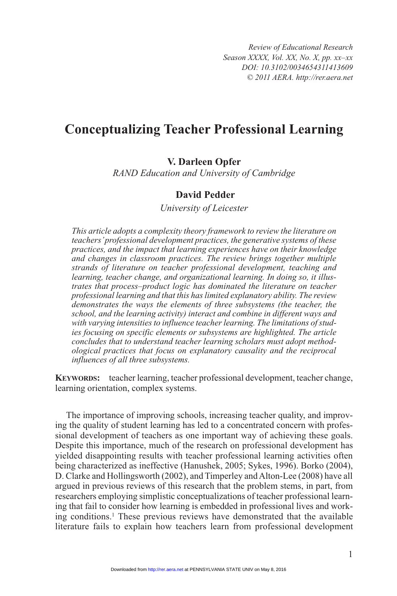*Review of Educational Research Season XXXX, Vol. XX, No. X, pp. xx–xx DOI: 10.3102/0034654311413609 © 2011 AERA. http://rer.aera.net*

# **Conceptualizing Teacher Professional Learning**

# **V. Darleen Opfer**

*RAND Education and University of Cambridge*

# **David Pedder**

*University of Leicester*

*This article adopts a complexity theory framework to review the literature on teachers' professional development practices, the generative systems of these practices, and the impact that learning experiences have on their knowledge and changes in classroom practices. The review brings together multiple strands of literature on teacher professional development, teaching and learning, teacher change, and organizational learning. In doing so, it illustrates that process–product logic has dominated the literature on teacher professional learning and that this has limited explanatory ability. The review*  demonstrates the ways the elements of three subsystems (the teacher, the *school, and the learning activity) interact and combine in different ways and with varying intensities to influence teacher learning. The limitations of stud*ies focusing on specific elements or subsystems are highlighted. The article *concludes that to understand teacher learning scholars must adopt methodological practices that focus on explanatory causality and the reciprocal influences of all three subsystems.*

**Keywords:** teacher learning, teacher professional development, teacher change, learning orientation, complex systems.

The importance of improving schools, increasing teacher quality, and improving the quality of student learning has led to a concentrated concern with professional development of teachers as one important way of achieving these goals. Despite this importance, much of the research on professional development has yielded disappointing results with teacher professional learning activities often being characterized as ineffective (Hanushek, 2005; Sykes, 1996). Borko (2004), D. Clarke and Hollingsworth (2002), and Timperley and Alton-Lee (2008) have all argued in previous reviews of this research that the problem stems, in part, from researchers employing simplistic conceptualizations of teacher professional learning that fail to consider how learning is embedded in professional lives and working conditions.<sup>1</sup> These previous reviews have demonstrated that the available literature fails to explain how teachers learn from professional development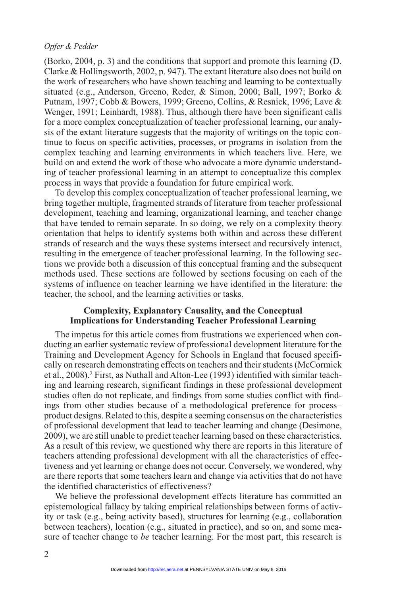(Borko, 2004, p. 3) and the conditions that support and promote this learning (D. Clarke & Hollingsworth, 2002, p. 947). The extant literature also does not build on the work of researchers who have shown teaching and learning to be contextually situated (e.g., Anderson, Greeno, Reder, & Simon, 2000; Ball, 1997; Borko & Putnam, 1997; Cobb & Bowers, 1999; Greeno, Collins, & Resnick, 1996; Lave & Wenger, 1991; Leinhardt, 1988). Thus, although there have been significant calls for a more complex conceptualization of teacher professional learning, our analysis of the extant literature suggests that the majority of writings on the topic continue to focus on specific activities, processes, or programs in isolation from the complex teaching and learning environments in which teachers live. Here, we build on and extend the work of those who advocate a more dynamic understanding of teacher professional learning in an attempt to conceptualize this complex process in ways that provide a foundation for future empirical work.

To develop this complex conceptualization of teacher professional learning, we bring together multiple, fragmented strands of literature from teacher professional development, teaching and learning, organizational learning, and teacher change that have tended to remain separate. In so doing, we rely on a complexity theory orientation that helps to identify systems both within and across these different strands of research and the ways these systems intersect and recursively interact, resulting in the emergence of teacher professional learning. In the following sections we provide both a discussion of this conceptual framing and the subsequent methods used. These sections are followed by sections focusing on each of the systems of influence on teacher learning we have identified in the literature: the teacher, the school, and the learning activities or tasks.

### **Complexity, Explanatory Causality, and the Conceptual Implications for Understanding Teacher Professional Learning**

The impetus for this article comes from frustrations we experienced when conducting an earlier systematic review of professional development literature for the Training and Development Agency for Schools in England that focused specifically on research demonstrating effects on teachers and their students (McCormick et al., 2008).2 First, as Nuthall and Alton-Lee (1993) identified with similar teaching and learning research, significant findings in these professional development studies often do not replicate, and findings from some studies conflict with findings from other studies because of a methodological preference for process– product designs. Related to this, despite a seeming consensus on the characteristics of professional development that lead to teacher learning and change (Desimone, 2009), we are still unable to predict teacher learning based on these characteristics. As a result of this review, we questioned why there are reports in this literature of teachers attending professional development with all the characteristics of effectiveness and yet learning or change does not occur. Conversely, we wondered, why are there reports that some teachers learn and change via activities that do not have the identified characteristics of effectiveness?

We believe the professional development effects literature has committed an epistemological fallacy by taking empirical relationships between forms of activity or task (e.g., being activity based), structures for learning (e.g., collaboration between teachers), location (e.g., situated in practice), and so on, and some measure of teacher change to *be* teacher learning. For the most part, this research is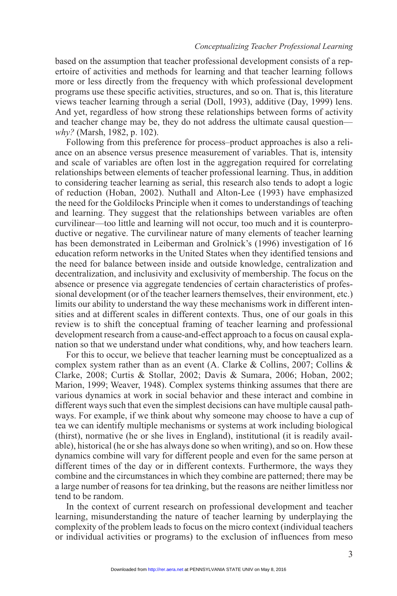based on the assumption that teacher professional development consists of a repertoire of activities and methods for learning and that teacher learning follows more or less directly from the frequency with which professional development programs use these specific activities, structures, and so on. That is, this literature views teacher learning through a serial (Doll, 1993), additive (Day, 1999) lens. And yet, regardless of how strong these relationships between forms of activity and teacher change may be, they do not address the ultimate causal question *why?* (Marsh, 1982, p. 102).

Following from this preference for process–product approaches is also a reliance on an absence versus presence measurement of variables. That is, intensity and scale of variables are often lost in the aggregation required for correlating relationships between elements of teacher professional learning. Thus, in addition to considering teacher learning as serial, this research also tends to adopt a logic of reduction (Hoban, 2002). Nuthall and Alton-Lee (1993) have emphasized the need for the Goldilocks Principle when it comes to understandings of teaching and learning. They suggest that the relationships between variables are often curvilinear—too little and learning will not occur, too much and it is counterproductive or negative. The curvilinear nature of many elements of teacher learning has been demonstrated in Leiberman and Grolnick's (1996) investigation of 16 education reform networks in the United States when they identified tensions and the need for balance between inside and outside knowledge, centralization and decentralization, and inclusivity and exclusivity of membership. The focus on the absence or presence via aggregate tendencies of certain characteristics of professional development (or of the teacher learners themselves, their environment, etc.) limits our ability to understand the way these mechanisms work in different intensities and at different scales in different contexts. Thus, one of our goals in this review is to shift the conceptual framing of teacher learning and professional development research from a cause-and-effect approach to a focus on causal explanation so that we understand under what conditions, why, and how teachers learn.

For this to occur, we believe that teacher learning must be conceptualized as a complex system rather than as an event (A. Clarke & Collins, 2007; Collins & Clarke, 2008; Curtis & Stollar, 2002; Davis & Sumara, 2006; Hoban, 2002; Marion, 1999; Weaver, 1948). Complex systems thinking assumes that there are various dynamics at work in social behavior and these interact and combine in different ways such that even the simplest decisions can have multiple causal pathways. For example, if we think about why someone may choose to have a cup of tea we can identify multiple mechanisms or systems at work including biological (thirst), normative (he or she lives in England), institutional (it is readily available), historical (he or she has always done so when writing), and so on. How these dynamics combine will vary for different people and even for the same person at different times of the day or in different contexts. Furthermore, the ways they combine and the circumstances in which they combine are patterned; there may be a large number of reasons for tea drinking, but the reasons are neither limitless nor tend to be random.

In the context of current research on professional development and teacher learning, misunderstanding the nature of teacher learning by underplaying the complexity of the problem leads to focus on the micro context (individual teachers or individual activities or programs) to the exclusion of influences from meso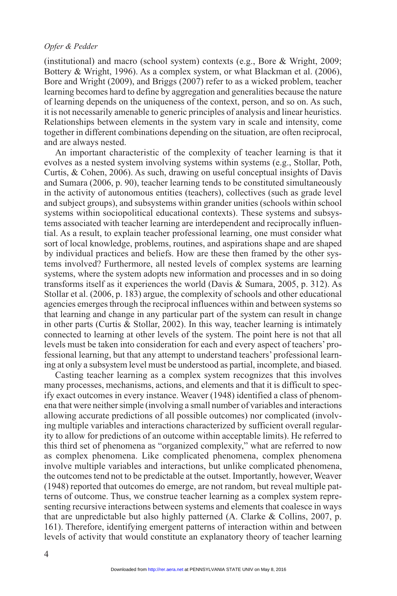(institutional) and macro (school system) contexts (e.g., Bore & Wright, 2009; Bottery & Wright, 1996). As a complex system, or what Blackman et al. (2006), Bore and Wright (2009), and Briggs (2007) refer to as a wicked problem, teacher learning becomes hard to define by aggregation and generalities because the nature of learning depends on the uniqueness of the context, person, and so on. As such, it is not necessarily amenable to generic principles of analysis and linear heuristics. Relationships between elements in the system vary in scale and intensity, come together in different combinations depending on the situation, are often reciprocal, and are always nested.

An important characteristic of the complexity of teacher learning is that it evolves as a nested system involving systems within systems (e.g., Stollar, Poth, Curtis, & Cohen, 2006). As such, drawing on useful conceptual insights of Davis and Sumara (2006, p. 90), teacher learning tends to be constituted simultaneously in the activity of autonomous entities (teachers), collectives (such as grade level and subject groups), and subsystems within grander unities (schools within school systems within sociopolitical educational contexts). These systems and subsystems associated with teacher learning are interdependent and reciprocally influential. As a result, to explain teacher professional learning, one must consider what sort of local knowledge, problems, routines, and aspirations shape and are shaped by individual practices and beliefs. How are these then framed by the other systems involved? Furthermore, all nested levels of complex systems are learning systems, where the system adopts new information and processes and in so doing transforms itself as it experiences the world (Davis & Sumara, 2005, p. 312). As Stollar et al. (2006, p. 183) argue, the complexity of schools and other educational agencies emerges through the reciprocal influences within and between systems so that learning and change in any particular part of the system can result in change in other parts (Curtis & Stollar, 2002). In this way, teacher learning is intimately connected to learning at other levels of the system. The point here is not that all levels must be taken into consideration for each and every aspect of teachers' professional learning, but that any attempt to understand teachers' professional learning at only a subsystem level must be understood as partial, incomplete, and biased.

Casting teacher learning as a complex system recognizes that this involves many processes, mechanisms, actions, and elements and that it is difficult to specify exact outcomes in every instance. Weaver (1948) identified a class of phenomena that were neither simple (involving a small number of variables and interactions allowing accurate predictions of all possible outcomes) nor complicated (involving multiple variables and interactions characterized by sufficient overall regularity to allow for predictions of an outcome within acceptable limits). He referred to this third set of phenomena as "organized complexity," what are referred to now as complex phenomena. Like complicated phenomena, complex phenomena involve multiple variables and interactions, but unlike complicated phenomena, the outcomes tend not to be predictable at the outset. Importantly, however, Weaver (1948) reported that outcomes do emerge, are not random, but reveal multiple patterns of outcome. Thus, we construe teacher learning as a complex system representing recursive interactions between systems and elements that coalesce in ways that are unpredictable but also highly patterned (A. Clarke & Collins, 2007, p. 161). Therefore, identifying emergent patterns of interaction within and between levels of activity that would constitute an explanatory theory of teacher learning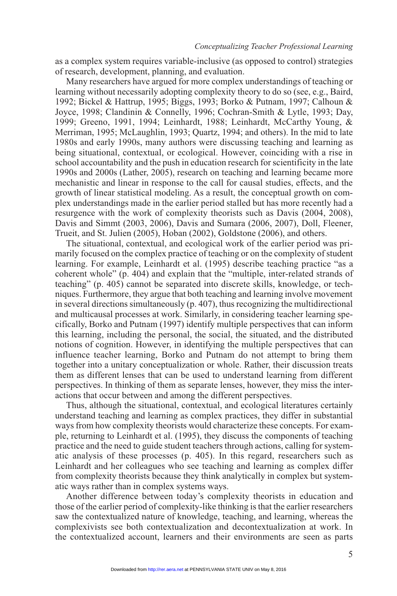as a complex system requires variable-inclusive (as opposed to control) strategies of research, development, planning, and evaluation.

Many researchers have argued for more complex understandings of teaching or learning without necessarily adopting complexity theory to do so (see, e.g., Baird, 1992; Bickel & Hattrup, 1995; Biggs, 1993; Borko & Putnam, 1997; Calhoun & Joyce, 1998; Clandinin & Connelly, 1996; Cochran-Smith & Lytle, 1993; Day, 1999; Greeno, 1991, 1994; Leinhardt, 1988; Leinhardt, McCarthy Young, & Merriman, 1995; McLaughlin, 1993; Quartz, 1994; and others). In the mid to late 1980s and early 1990s, many authors were discussing teaching and learning as being situational, contextual, or ecological. However, coinciding with a rise in school accountability and the push in education research for scientificity in the late 1990s and 2000s (Lather, 2005), research on teaching and learning became more mechanistic and linear in response to the call for causal studies, effects, and the growth of linear statistical modeling. As a result, the conceptual growth on complex understandings made in the earlier period stalled but has more recently had a resurgence with the work of complexity theorists such as Davis (2004, 2008), Davis and Simmt (2003, 2006), Davis and Sumara (2006, 2007), Doll, Fleener, Trueit, and St. Julien (2005), Hoban (2002), Goldstone (2006), and others.

The situational, contextual, and ecological work of the earlier period was primarily focused on the complex practice of teaching or on the complexity of student learning. For example, Leinhardt et al. (1995) describe teaching practice "as a coherent whole" (p. 404) and explain that the "multiple, inter-related strands of teaching" (p. 405) cannot be separated into discrete skills, knowledge, or techniques. Furthermore, they argue that both teaching and learning involve movement in several directions simultaneously  $(p. 407)$ , thus recognizing the multidirectional and multicausal processes at work. Similarly, in considering teacher learning specifically, Borko and Putnam (1997) identify multiple perspectives that can inform this learning, including the personal, the social, the situated, and the distributed notions of cognition. However, in identifying the multiple perspectives that can influence teacher learning, Borko and Putnam do not attempt to bring them together into a unitary conceptualization or whole. Rather, their discussion treats them as different lenses that can be used to understand learning from different perspectives. In thinking of them as separate lenses, however, they miss the interactions that occur between and among the different perspectives.

Thus, although the situational, contextual, and ecological literatures certainly understand teaching and learning as complex practices, they differ in substantial ways from how complexity theorists would characterize these concepts. For example, returning to Leinhardt et al. (1995), they discuss the components of teaching practice and the need to guide student teachers through actions, calling for systematic analysis of these processes (p. 405). In this regard, researchers such as Leinhardt and her colleagues who see teaching and learning as complex differ from complexity theorists because they think analytically in complex but systematic ways rather than in complex systems ways.

Another difference between today's complexity theorists in education and those of the earlier period of complexity-like thinking is that the earlier researchers saw the contextualized nature of knowledge, teaching, and learning, whereas the complexivists see both contextualization and decontextualization at work. In the contextualized account, learners and their environments are seen as parts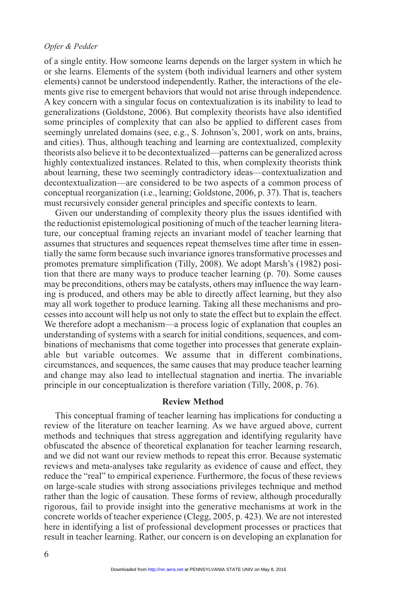of a single entity. How someone learns depends on the larger system in which he or she learns. Elements of the system (both individual learners and other system elements) cannot be understood independently. Rather, the interactions of the elements give rise to emergent behaviors that would not arise through independence. A key concern with a singular focus on contextualization is its inability to lead to generalizations (Goldstone, 2006). But complexity theorists have also identified some principles of complexity that can also be applied to different cases from seemingly unrelated domains (see, e.g., S. Johnson's, 2001, work on ants, brains, and cities). Thus, although teaching and learning are contextualized, complexity theorists also believe it to be decontextualized—patterns can be generalized across highly contextualized instances. Related to this, when complexity theorists think about learning, these two seemingly contradictory ideas—contextualization and decontextualization—are considered to be two aspects of a common process of conceptual reorganization (i.e., learning; Goldstone, 2006, p. 37). That is, teachers must recursively consider general principles and specific contexts to learn.

Given our understanding of complexity theory plus the issues identified with the reductionist epistemological positioning of much of the teacher learning literature, our conceptual framing rejects an invariant model of teacher learning that assumes that structures and sequences repeat themselves time after time in essentially the same form because such invariance ignores transformative processes and promotes premature simplification (Tilly, 2008). We adopt Marsh's (1982) position that there are many ways to produce teacher learning (p. 70). Some causes may be preconditions, others may be catalysts, others may influence the way learning is produced, and others may be able to directly affect learning, but they also may all work together to produce learning. Taking all these mechanisms and processes into account will help us not only to state the effect but to explain the effect. We therefore adopt a mechanism—a process logic of explanation that couples an understanding of systems with a search for initial conditions, sequences, and combinations of mechanisms that come together into processes that generate explainable but variable outcomes. We assume that in different combinations, circumstances, and sequences, the same causes that may produce teacher learning and change may also lead to intellectual stagnation and inertia. The invariable principle in our conceptualization is therefore variation (Tilly, 2008, p. 76).

### **Review Method**

This conceptual framing of teacher learning has implications for conducting a review of the literature on teacher learning. As we have argued above, current methods and techniques that stress aggregation and identifying regularity have obfuscated the absence of theoretical explanation for teacher learning research, and we did not want our review methods to repeat this error. Because systematic reviews and meta-analyses take regularity as evidence of cause and effect, they reduce the "real" to empirical experience. Furthermore, the focus of these reviews on large-scale studies with strong associations privileges technique and method rather than the logic of causation. These forms of review, although procedurally rigorous, fail to provide insight into the generative mechanisms at work in the concrete worlds of teacher experience (Clegg, 2005, p. 423). We are not interested here in identifying a list of professional development processes or practices that result in teacher learning. Rather, our concern is on developing an explanation for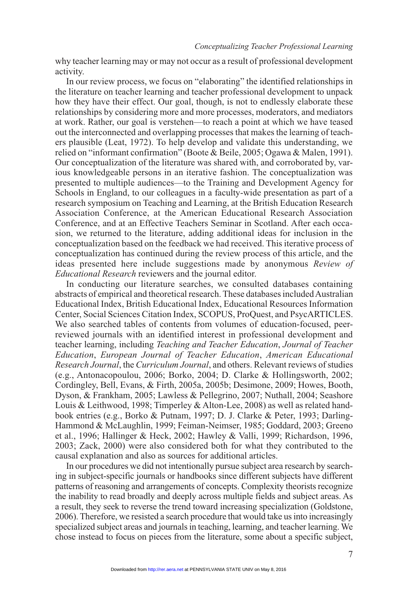why teacher learning may or may not occur as a result of professional development activity.

In our review process, we focus on "elaborating" the identified relationships in the literature on teacher learning and teacher professional development to unpack how they have their effect. Our goal, though, is not to endlessly elaborate these relationships by considering more and more processes, moderators, and mediators at work. Rather, our goal is verstehen—to reach a point at which we have teased out the interconnected and overlapping processes that makes the learning of teachers plausible (Leat, 1972). To help develop and validate this understanding, we relied on "informant confirmation" (Boote & Beile, 2005; Ogawa & Malen, 1991). Our conceptualization of the literature was shared with, and corroborated by, various knowledgeable persons in an iterative fashion. The conceptualization was presented to multiple audiences—to the Training and Development Agency for Schools in England, to our colleagues in a faculty-wide presentation as part of a research symposium on Teaching and Learning, at the British Education Research Association Conference, at the American Educational Research Association Conference, and at an Effective Teachers Seminar in Scotland. After each occasion, we returned to the literature, adding additional ideas for inclusion in the conceptualization based on the feedback we had received. This iterative process of conceptualization has continued during the review process of this article, and the ideas presented here include suggestions made by anonymous *Review of Educational Research* reviewers and the journal editor.

In conducting our literature searches, we consulted databases containing abstracts of empirical and theoretical research. These databases included Australian Educational Index, British Educational Index, Educational Resources Information Center, Social Sciences Citation Index, SCOPUS, ProQuest, and PsycARTICLES. We also searched tables of contents from volumes of education-focused, peerreviewed journals with an identified interest in professional development and teacher learning, including *Teaching and Teacher Education*, *Journal of Teacher Education*, *European Journal of Teacher Education*, *American Educational Research Journal*, the *Curriculum Journal*, and others. Relevant reviews of studies (e.g., Antonacopoulou, 2006; Borko, 2004; D. Clarke & Hollingsworth, 2002; Cordingley, Bell, Evans, & Firth, 2005a, 2005b; Desimone, 2009; Howes, Booth, Dyson, & Frankham, 2005; Lawless & Pellegrino, 2007; Nuthall, 2004; Seashore Louis & Leithwood, 1998; Timperley & Alton-Lee, 2008) as well as related handbook entries (e.g., Borko & Putnam, 1997; D. J. Clarke & Peter, 1993; Darling-Hammond & McLaughlin, 1999; Feiman-Neimser, 1985; Goddard, 2003; Greeno et al., 1996; Hallinger & Heck, 2002; Hawley & Valli, 1999; Richardson, 1996, 2003; Zack, 2000) were also considered both for what they contributed to the causal explanation and also as sources for additional articles.

In our procedures we did not intentionally pursue subject area research by searching in subject-specific journals or handbooks since different subjects have different patterns of reasoning and arrangements of concepts. Complexity theorists recognize the inability to read broadly and deeply across multiple fields and subject areas. As a result, they seek to reverse the trend toward increasing specialization (Goldstone, 2006). Therefore, we resisted a search procedure that would take us into increasingly specialized subject areas and journals in teaching, learning, and teacher learning. We chose instead to focus on pieces from the literature, some about a specific subject,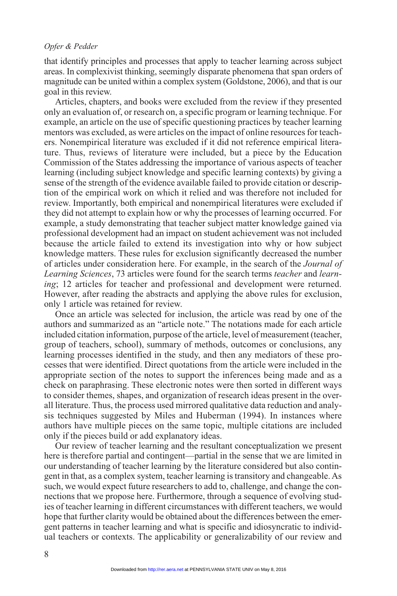that identify principles and processes that apply to teacher learning across subject areas. In complexivist thinking, seemingly disparate phenomena that span orders of magnitude can be united within a complex system (Goldstone, 2006), and that is our goal in this review.

Articles, chapters, and books were excluded from the review if they presented only an evaluation of, or research on, a specific program or learning technique. For example, an article on the use of specific questioning practices by teacher learning mentors was excluded, as were articles on the impact of online resources for teachers. Nonempirical literature was excluded if it did not reference empirical literature. Thus, reviews of literature were included, but a piece by the Education Commission of the States addressing the importance of various aspects of teacher learning (including subject knowledge and specific learning contexts) by giving a sense of the strength of the evidence available failed to provide citation or description of the empirical work on which it relied and was therefore not included for review. Importantly, both empirical and nonempirical literatures were excluded if they did not attempt to explain how or why the processes of learning occurred. For example, a study demonstrating that teacher subject matter knowledge gained via professional development had an impact on student achievement was not included because the article failed to extend its investigation into why or how subject knowledge matters. These rules for exclusion significantly decreased the number of articles under consideration here. For example, in the search of the *Journal of Learning Sciences*, 73 articles were found for the search terms *teacher* and *learning*; 12 articles for teacher and professional and development were returned. However, after reading the abstracts and applying the above rules for exclusion, only 1 article was retained for review.

Once an article was selected for inclusion, the article was read by one of the authors and summarized as an "article note." The notations made for each article included citation information, purpose of the article, level of measurement (teacher, group of teachers, school), summary of methods, outcomes or conclusions, any learning processes identified in the study, and then any mediators of these processes that were identified. Direct quotations from the article were included in the appropriate section of the notes to support the inferences being made and as a check on paraphrasing. These electronic notes were then sorted in different ways to consider themes, shapes, and organization of research ideas present in the overall literature. Thus, the process used mirrored qualitative data reduction and analysis techniques suggested by Miles and Huberman (1994). In instances where authors have multiple pieces on the same topic, multiple citations are included only if the pieces build or add explanatory ideas.

Our review of teacher learning and the resultant conceptualization we present here is therefore partial and contingent—partial in the sense that we are limited in our understanding of teacher learning by the literature considered but also contingent in that, as a complex system, teacher learning is transitory and changeable. As such, we would expect future researchers to add to, challenge, and change the connections that we propose here. Furthermore, through a sequence of evolving studies of teacher learning in different circumstances with different teachers, we would hope that further clarity would be obtained about the differences between the emergent patterns in teacher learning and what is specific and idiosyncratic to individual teachers or contexts. The applicability or generalizability of our review and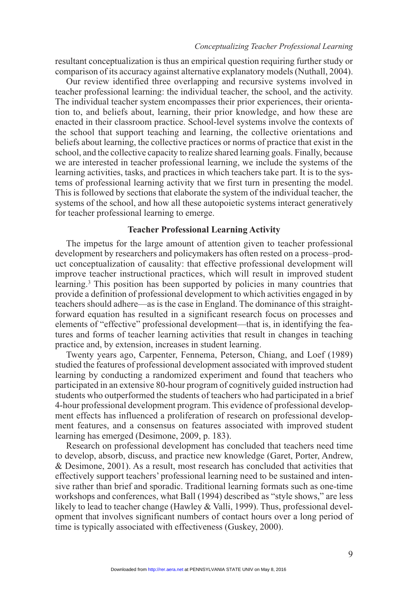resultant conceptualization is thus an empirical question requiring further study or comparison of its accuracy against alternative explanatory models (Nuthall, 2004).

Our review identified three overlapping and recursive systems involved in teacher professional learning: the individual teacher, the school, and the activity. The individual teacher system encompasses their prior experiences, their orientation to, and beliefs about, learning, their prior knowledge, and how these are enacted in their classroom practice. School-level systems involve the contexts of the school that support teaching and learning, the collective orientations and beliefs about learning, the collective practices or norms of practice that exist in the school, and the collective capacity to realize shared learning goals. Finally, because we are interested in teacher professional learning, we include the systems of the learning activities, tasks, and practices in which teachers take part. It is to the systems of professional learning activity that we first turn in presenting the model. This is followed by sections that elaborate the system of the individual teacher, the systems of the school, and how all these autopoietic systems interact generatively for teacher professional learning to emerge.

# **Teacher Professional Learning Activity**

The impetus for the large amount of attention given to teacher professional development by researchers and policymakers has often rested on a process–product conceptualization of causality: that effective professional development will improve teacher instructional practices, which will result in improved student learning.3 This position has been supported by policies in many countries that provide a definition of professional development to which activities engaged in by teachers should adhere—as is the case in England. The dominance of this straightforward equation has resulted in a significant research focus on processes and elements of "effective" professional development—that is, in identifying the features and forms of teacher learning activities that result in changes in teaching practice and, by extension, increases in student learning.

Twenty years ago, Carpenter, Fennema, Peterson, Chiang, and Loef (1989) studied the features of professional development associated with improved student learning by conducting a randomized experiment and found that teachers who participated in an extensive 80-hour program of cognitively guided instruction had students who outperformed the students of teachers who had participated in a brief 4-hour professional development program. This evidence of professional development effects has influenced a proliferation of research on professional development features, and a consensus on features associated with improved student learning has emerged (Desimone, 2009, p. 183).

Research on professional development has concluded that teachers need time to develop, absorb, discuss, and practice new knowledge (Garet, Porter, Andrew, & Desimone, 2001). As a result, most research has concluded that activities that effectively support teachers' professional learning need to be sustained and intensive rather than brief and sporadic. Traditional learning formats such as one-time workshops and conferences, what Ball (1994) described as "style shows," are less likely to lead to teacher change (Hawley & Valli, 1999). Thus, professional development that involves significant numbers of contact hours over a long period of time is typically associated with effectiveness (Guskey, 2000).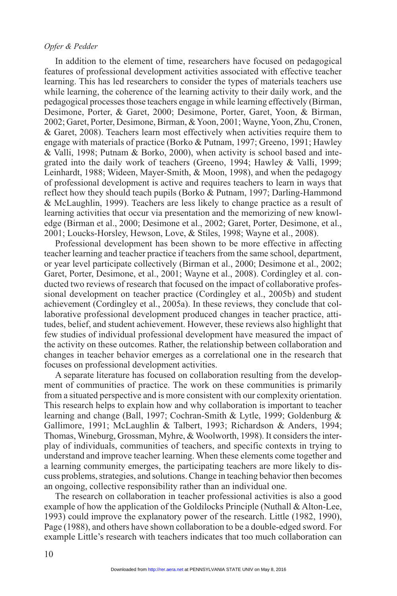In addition to the element of time, researchers have focused on pedagogical features of professional development activities associated with effective teacher learning. This has led researchers to consider the types of materials teachers use while learning, the coherence of the learning activity to their daily work, and the pedagogical processes those teachers engage in while learning effectively (Birman, Desimone, Porter, & Garet, 2000; Desimone, Porter, Garet, Yoon, & Birman, 2002; Garet, Porter, Desimone, Birman, & Yoon, 2001; Wayne, Yoon, Zhu, Cronen, & Garet, 2008). Teachers learn most effectively when activities require them to engage with materials of practice (Borko & Putnam, 1997; Greeno, 1991; Hawley & Valli, 1998; Putnam & Borko, 2000), when activity is school based and integrated into the daily work of teachers (Greeno, 1994; Hawley & Valli, 1999; Leinhardt, 1988; Wideen, Mayer-Smith, & Moon, 1998), and when the pedagogy of professional development is active and requires teachers to learn in ways that reflect how they should teach pupils (Borko & Putnam, 1997; Darling-Hammond & McLaughlin, 1999). Teachers are less likely to change practice as a result of learning activities that occur via presentation and the memorizing of new knowledge (Birman et al., 2000; Desimone et al., 2002; Garet, Porter, Desimone, et al., 2001; Loucks-Horsley, Hewson, Love, & Stiles, 1998; Wayne et al., 2008).

Professional development has been shown to be more effective in affecting teacher learning and teacher practice if teachers from the same school, department, or year level participate collectively (Birman et al., 2000; Desimone et al., 2002; Garet, Porter, Desimone, et al., 2001; Wayne et al., 2008). Cordingley et al. conducted two reviews of research that focused on the impact of collaborative professional development on teacher practice (Cordingley et al., 2005b) and student achievement (Cordingley et al., 2005a). In these reviews, they conclude that collaborative professional development produced changes in teacher practice, attitudes, belief, and student achievement. However, these reviews also highlight that few studies of individual professional development have measured the impact of the activity on these outcomes. Rather, the relationship between collaboration and changes in teacher behavior emerges as a correlational one in the research that focuses on professional development activities.

A separate literature has focused on collaboration resulting from the development of communities of practice. The work on these communities is primarily from a situated perspective and is more consistent with our complexity orientation. This research helps to explain how and why collaboration is important to teacher learning and change (Ball, 1997; Cochran-Smith & Lytle, 1999; Goldenburg & Gallimore, 1991; McLaughlin & Talbert, 1993; Richardson & Anders, 1994; Thomas, Wineburg, Grossman, Myhre, & Woolworth, 1998). It considers the interplay of individuals, communities of teachers, and specific contexts in trying to understand and improve teacher learning. When these elements come together and a learning community emerges, the participating teachers are more likely to discuss problems, strategies, and solutions. Change in teaching behavior then becomes an ongoing, collective responsibility rather than an individual one.

The research on collaboration in teacher professional activities is also a good example of how the application of the Goldilocks Principle (Nuthall & Alton-Lee, 1993) could improve the explanatory power of the research. Little (1982, 1990), Page (1988), and others have shown collaboration to be a double-edged sword. For example Little's research with teachers indicates that too much collaboration can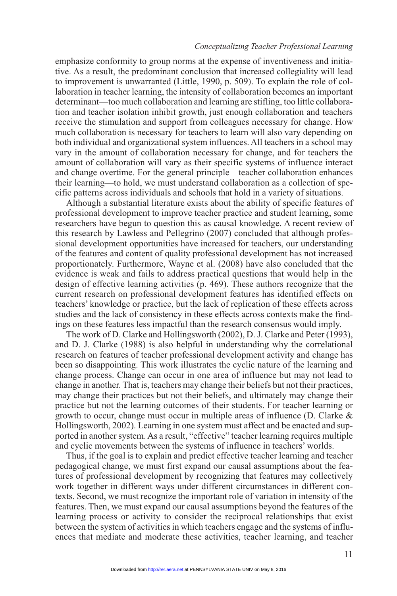#### *Conceptualizing Teacher Professional Learning*

emphasize conformity to group norms at the expense of inventiveness and initiative. As a result, the predominant conclusion that increased collegiality will lead to improvement is unwarranted (Little, 1990, p. 509). To explain the role of collaboration in teacher learning, the intensity of collaboration becomes an important determinant—too much collaboration and learning are stifling, too little collaboration and teacher isolation inhibit growth, just enough collaboration and teachers receive the stimulation and support from colleagues necessary for change. How much collaboration is necessary for teachers to learn will also vary depending on both individual and organizational system influences. All teachers in a school may vary in the amount of collaboration necessary for change, and for teachers the amount of collaboration will vary as their specific systems of influence interact and change overtime. For the general principle—teacher collaboration enhances their learning—to hold, we must understand collaboration as a collection of specific patterns across individuals and schools that hold in a variety of situations.

Although a substantial literature exists about the ability of specific features of professional development to improve teacher practice and student learning, some researchers have begun to question this as causal knowledge. A recent review of this research by Lawless and Pellegrino (2007) concluded that although professional development opportunities have increased for teachers, our understanding of the features and content of quality professional development has not increased proportionately. Furthermore, Wayne et al. (2008) have also concluded that the evidence is weak and fails to address practical questions that would help in the design of effective learning activities (p. 469). These authors recognize that the current research on professional development features has identified effects on teachers' knowledge or practice, but the lack of replication of these effects across studies and the lack of consistency in these effects across contexts make the findings on these features less impactful than the research consensus would imply.

The work of D. Clarke and Hollingsworth (2002), D. J. Clarke and Peter (1993), and D. J. Clarke (1988) is also helpful in understanding why the correlational research on features of teacher professional development activity and change has been so disappointing. This work illustrates the cyclic nature of the learning and change process. Change can occur in one area of influence but may not lead to change in another. That is, teachers may change their beliefs but not their practices, may change their practices but not their beliefs, and ultimately may change their practice but not the learning outcomes of their students. For teacher learning or growth to occur, change must occur in multiple areas of influence (D. Clarke  $\&$ Hollingsworth, 2002). Learning in one system must affect and be enacted and supported in another system. As a result, "effective" teacher learning requires multiple and cyclic movements between the systems of influence in teachers' worlds.

Thus, if the goal is to explain and predict effective teacher learning and teacher pedagogical change, we must first expand our causal assumptions about the features of professional development by recognizing that features may collectively work together in different ways under different circumstances in different contexts. Second, we must recognize the important role of variation in intensity of the features. Then, we must expand our causal assumptions beyond the features of the learning process or activity to consider the reciprocal relationships that exist between the system of activities in which teachers engage and the systems of influences that mediate and moderate these activities, teacher learning, and teacher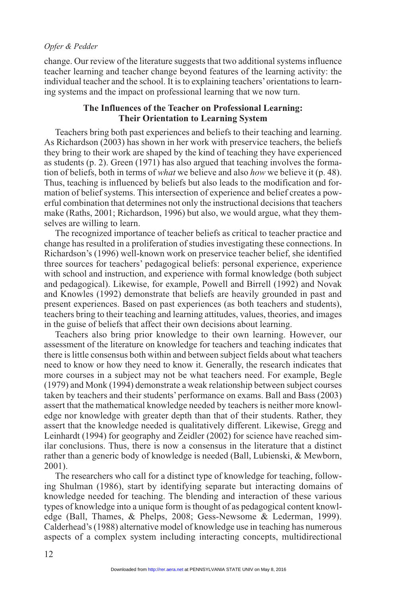change. Our review of the literature suggests that two additional systems influence teacher learning and teacher change beyond features of the learning activity: the individual teacher and the school. It is to explaining teachers' orientations to learning systems and the impact on professional learning that we now turn.

### **The Influences of the Teacher on Professional Learning: Their Orientation to Learning System**

Teachers bring both past experiences and beliefs to their teaching and learning. As Richardson (2003) has shown in her work with preservice teachers, the beliefs they bring to their work are shaped by the kind of teaching they have experienced as students (p. 2). Green (1971) has also argued that teaching involves the formation of beliefs, both in terms of *what* we believe and also *how* we believe it (p. 48). Thus, teaching is influenced by beliefs but also leads to the modification and formation of belief systems. This intersection of experience and belief creates a powerful combination that determines not only the instructional decisions that teachers make (Raths, 2001; Richardson, 1996) but also, we would argue, what they themselves are willing to learn.

The recognized importance of teacher beliefs as critical to teacher practice and change has resulted in a proliferation of studies investigating these connections. In Richardson's (1996) well-known work on preservice teacher belief, she identified three sources for teachers' pedagogical beliefs: personal experience, experience with school and instruction, and experience with formal knowledge (both subject and pedagogical). Likewise, for example, Powell and Birrell (1992) and Novak and Knowles (1992) demonstrate that beliefs are heavily grounded in past and present experiences. Based on past experiences (as both teachers and students), teachers bring to their teaching and learning attitudes, values, theories, and images in the guise of beliefs that affect their own decisions about learning.

Teachers also bring prior knowledge to their own learning. However, our assessment of the literature on knowledge for teachers and teaching indicates that there is little consensus both within and between subject fields about what teachers need to know or how they need to know it. Generally, the research indicates that more courses in a subject may not be what teachers need. For example, Begle (1979) and Monk (1994) demonstrate a weak relationship between subject courses taken by teachers and their students' performance on exams. Ball and Bass (2003) assert that the mathematical knowledge needed by teachers is neither more knowledge nor knowledge with greater depth than that of their students. Rather, they assert that the knowledge needed is qualitatively different. Likewise, Gregg and Leinhardt (1994) for geography and Zeidler (2002) for science have reached similar conclusions. Thus, there is now a consensus in the literature that a distinct rather than a generic body of knowledge is needed (Ball, Lubienski, & Mewborn, 2001).

The researchers who call for a distinct type of knowledge for teaching, following Shulman (1986), start by identifying separate but interacting domains of knowledge needed for teaching. The blending and interaction of these various types of knowledge into a unique form is thought of as pedagogical content knowledge (Ball, Thames, & Phelps, 2008; Gess-Newsome & Lederman, 1999). Calderhead's (1988) alternative model of knowledge use in teaching has numerous aspects of a complex system including interacting concepts, multidirectional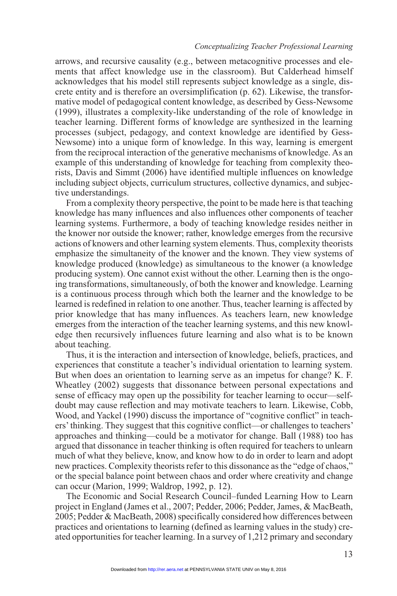#### *Conceptualizing Teacher Professional Learning*

arrows, and recursive causality (e.g., between metacognitive processes and elements that affect knowledge use in the classroom). But Calderhead himself acknowledges that his model still represents subject knowledge as a single, discrete entity and is therefore an oversimplification (p. 62). Likewise, the transformative model of pedagogical content knowledge, as described by Gess-Newsome (1999), illustrates a complexity-like understanding of the role of knowledge in teacher learning. Different forms of knowledge are synthesized in the learning processes (subject, pedagogy, and context knowledge are identified by Gess-Newsome) into a unique form of knowledge. In this way, learning is emergent from the reciprocal interaction of the generative mechanisms of knowledge. As an example of this understanding of knowledge for teaching from complexity theorists, Davis and Simmt (2006) have identified multiple influences on knowledge including subject objects, curriculum structures, collective dynamics, and subjective understandings.

From a complexity theory perspective, the point to be made here is that teaching knowledge has many influences and also influences other components of teacher learning systems. Furthermore, a body of teaching knowledge resides neither in the knower nor outside the knower; rather, knowledge emerges from the recursive actions of knowers and other learning system elements. Thus, complexity theorists emphasize the simultaneity of the knower and the known. They view systems of knowledge produced (knowledge) as simultaneous to the knower (a knowledge producing system). One cannot exist without the other. Learning then is the ongoing transformations, simultaneously, of both the knower and knowledge. Learning is a continuous process through which both the learner and the knowledge to be learned is redefined in relation to one another. Thus, teacher learning is affected by prior knowledge that has many influences. As teachers learn, new knowledge emerges from the interaction of the teacher learning systems, and this new knowledge then recursively influences future learning and also what is to be known about teaching.

Thus, it is the interaction and intersection of knowledge, beliefs, practices, and experiences that constitute a teacher's individual orientation to learning system. But when does an orientation to learning serve as an impetus for change? K. F. Wheatley (2002) suggests that dissonance between personal expectations and sense of efficacy may open up the possibility for teacher learning to occur—selfdoubt may cause reflection and may motivate teachers to learn. Likewise, Cobb, Wood, and Yackel (1990) discuss the importance of "cognitive conflict" in teachers' thinking. They suggest that this cognitive conflict—or challenges to teachers' approaches and thinking—could be a motivator for change. Ball (1988) too has argued that dissonance in teacher thinking is often required for teachers to unlearn much of what they believe, know, and know how to do in order to learn and adopt new practices. Complexity theorists refer to this dissonance as the "edge of chaos," or the special balance point between chaos and order where creativity and change can occur (Marion, 1999; Waldrop, 1992, p. 12).

The Economic and Social Research Council–funded Learning How to Learn project in England (James et al., 2007; Pedder, 2006; Pedder, James, & MacBeath, 2005; Pedder & MacBeath, 2008) specifically considered how differences between practices and orientations to learning (defined as learning values in the study) created opportunities for teacher learning. In a survey of 1,212 primary and secondary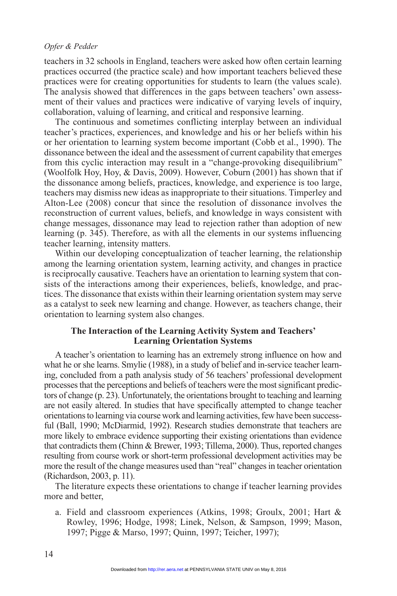teachers in 32 schools in England, teachers were asked how often certain learning practices occurred (the practice scale) and how important teachers believed these practices were for creating opportunities for students to learn (the values scale). The analysis showed that differences in the gaps between teachers' own assessment of their values and practices were indicative of varying levels of inquiry, collaboration, valuing of learning, and critical and responsive learning.

The continuous and sometimes conflicting interplay between an individual teacher's practices, experiences, and knowledge and his or her beliefs within his or her orientation to learning system become important (Cobb et al., 1990). The dissonance between the ideal and the assessment of current capability that emerges from this cyclic interaction may result in a "change-provoking disequilibrium" (Woolfolk Hoy, Hoy, & Davis, 2009). However, Coburn (2001) has shown that if the dissonance among beliefs, practices, knowledge, and experience is too large, teachers may dismiss new ideas as inappropriate to their situations. Timperley and Alton-Lee (2008) concur that since the resolution of dissonance involves the reconstruction of current values, beliefs, and knowledge in ways consistent with change messages, dissonance may lead to rejection rather than adoption of new learning (p. 345). Therefore, as with all the elements in our systems influencing teacher learning, intensity matters.

Within our developing conceptualization of teacher learning, the relationship among the learning orientation system, learning activity, and changes in practice is reciprocally causative. Teachers have an orientation to learning system that consists of the interactions among their experiences, beliefs, knowledge, and practices. The dissonance that exists within their learning orientation system may serve as a catalyst to seek new learning and change. However, as teachers change, their orientation to learning system also changes.

### **The Interaction of the Learning Activity System and Teachers' Learning Orientation Systems**

A teacher's orientation to learning has an extremely strong influence on how and what he or she learns. Smylie (1988), in a study of belief and in-service teacher learning, concluded from a path analysis study of 56 teachers' professional development processes that the perceptions and beliefs of teachers were the most significant predictors of change (p. 23). Unfortunately, the orientations brought to teaching and learning are not easily altered. In studies that have specifically attempted to change teacher orientations to learning via course work and learning activities, few have been successful (Ball, 1990; McDiarmid, 1992). Research studies demonstrate that teachers are more likely to embrace evidence supporting their existing orientations than evidence that contradicts them (Chinn & Brewer, 1993; Tillema, 2000). Thus, reported changes resulting from course work or short-term professional development activities may be more the result of the change measures used than "real" changes in teacher orientation (Richardson, 2003, p. 11).

The literature expects these orientations to change if teacher learning provides more and better,

a. Field and classroom experiences (Atkins, 1998; Groulx, 2001; Hart & Rowley, 1996; Hodge, 1998; Linek, Nelson, & Sampson, 1999; Mason, 1997; Pigge & Marso, 1997; Quinn, 1997; Teicher, 1997);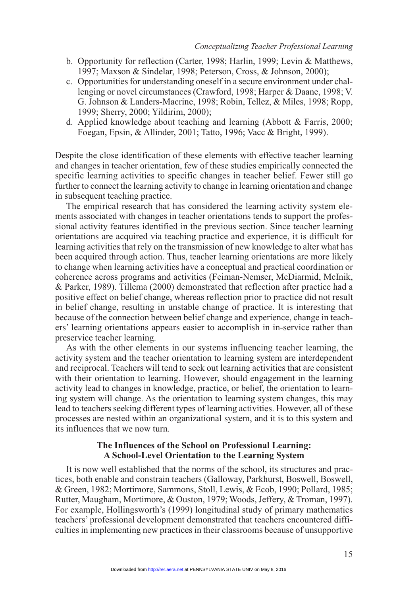- b. Opportunity for reflection (Carter, 1998; Harlin, 1999; Levin & Matthews, 1997; Maxson & Sindelar, 1998; Peterson, Cross, & Johnson, 2000);
- c. Opportunities for understanding oneself in a secure environment under challenging or novel circumstances (Crawford, 1998; Harper & Daane, 1998; V. G. Johnson & Landers-Macrine, 1998; Robin, Tellez, & Miles, 1998; Ropp, 1999; Sherry, 2000; Yildirim, 2000);
- d. Applied knowledge about teaching and learning (Abbott & Farris, 2000; Foegan, Epsin, & Allinder, 2001; Tatto, 1996; Vacc & Bright, 1999).

Despite the close identification of these elements with effective teacher learning and changes in teacher orientation, few of these studies empirically connected the specific learning activities to specific changes in teacher belief. Fewer still go further to connect the learning activity to change in learning orientation and change in subsequent teaching practice.

The empirical research that has considered the learning activity system elements associated with changes in teacher orientations tends to support the professional activity features identified in the previous section. Since teacher learning orientations are acquired via teaching practice and experience, it is difficult for learning activities that rely on the transmission of new knowledge to alter what has been acquired through action. Thus, teacher learning orientations are more likely to change when learning activities have a conceptual and practical coordination or coherence across programs and activities (Feiman-Nemser, McDiarmid, McInik, & Parker, 1989). Tillema (2000) demonstrated that reflection after practice had a positive effect on belief change, whereas reflection prior to practice did not result in belief change, resulting in unstable change of practice. It is interesting that because of the connection between belief change and experience, change in teachers' learning orientations appears easier to accomplish in in-service rather than preservice teacher learning.

As with the other elements in our systems influencing teacher learning, the activity system and the teacher orientation to learning system are interdependent and reciprocal. Teachers will tend to seek out learning activities that are consistent with their orientation to learning. However, should engagement in the learning activity lead to changes in knowledge, practice, or belief, the orientation to learning system will change. As the orientation to learning system changes, this may lead to teachers seeking different types of learning activities. However, all of these processes are nested within an organizational system, and it is to this system and its influences that we now turn.

### **The Influences of the School on Professional Learning: A School-Level Orientation to the Learning System**

It is now well established that the norms of the school, its structures and practices, both enable and constrain teachers (Galloway, Parkhurst, Boswell, Boswell, & Green, 1982; Mortimore, Sammons, Stoll, Lewis, & Ecob, 1990; Pollard, 1985; Rutter, Maugham, Mortimore, & Ouston, 1979; Woods, Jeffery, & Troman, 1997). For example, Hollingsworth's (1999) longitudinal study of primary mathematics teachers' professional development demonstrated that teachers encountered difficulties in implementing new practices in their classrooms because of unsupportive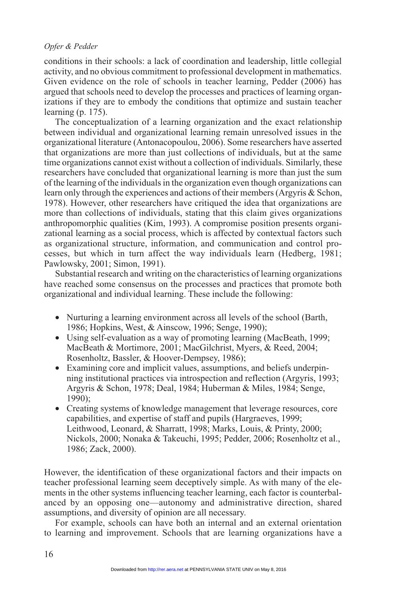conditions in their schools: a lack of coordination and leadership, little collegial activity, and no obvious commitment to professional development in mathematics. Given evidence on the role of schools in teacher learning, Pedder (2006) has argued that schools need to develop the processes and practices of learning organizations if they are to embody the conditions that optimize and sustain teacher learning (p. 175).

The conceptualization of a learning organization and the exact relationship between individual and organizational learning remain unresolved issues in the organizational literature (Antonacopoulou, 2006). Some researchers have asserted that organizations are more than just collections of individuals, but at the same time organizations cannot exist without a collection of individuals. Similarly, these researchers have concluded that organizational learning is more than just the sum of the learning of the individuals in the organization even though organizations can learn only through the experiences and actions of their members (Argyris & Schon, 1978). However, other researchers have critiqued the idea that organizations are more than collections of individuals, stating that this claim gives organizations anthropomorphic qualities (Kim, 1993). A compromise position presents organizational learning as a social process, which is affected by contextual factors such as organizational structure, information, and communication and control processes, but which in turn affect the way individuals learn (Hedberg, 1981; Pawlowsky, 2001; Simon, 1991).

Substantial research and writing on the characteristics of learning organizations have reached some consensus on the processes and practices that promote both organizational and individual learning. These include the following:

- Nurturing a learning environment across all levels of the school (Barth, 1986; Hopkins, West, & Ainscow, 1996; Senge, 1990);
- · Using self-evaluation as a way of promoting learning (MacBeath, 1999; MacBeath & Mortimore, 2001; MacGilchrist, Myers, & Reed, 2004; Rosenholtz, Bassler, & Hoover-Dempsey, 1986);
- · Examining core and implicit values, assumptions, and beliefs underpinning institutional practices via introspection and reflection (Argyris, 1993; Argyris & Schon, 1978; Deal, 1984; Huberman & Miles, 1984; Senge, 1990);
- · Creating systems of knowledge management that leverage resources, core capabilities, and expertise of staff and pupils (Hargraeves, 1999; Leithwood, Leonard, & Sharratt, 1998; Marks, Louis, & Printy, 2000; Nickols, 2000; Nonaka & Takeuchi, 1995; Pedder, 2006; Rosenholtz et al., 1986; Zack, 2000).

However, the identification of these organizational factors and their impacts on teacher professional learning seem deceptively simple. As with many of the elements in the other systems influencing teacher learning, each factor is counterbalanced by an opposing one—autonomy and administrative direction, shared assumptions, and diversity of opinion are all necessary.

For example, schools can have both an internal and an external orientation to learning and improvement. Schools that are learning organizations have a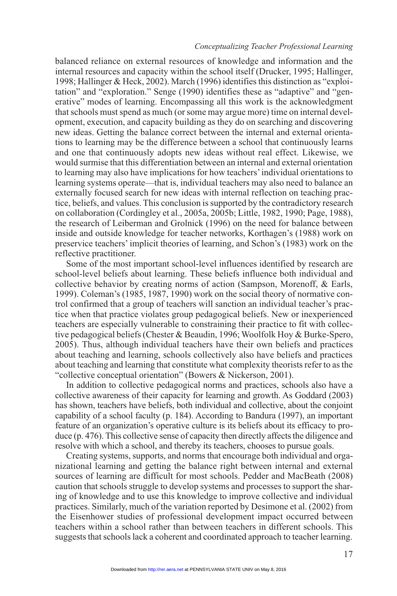#### *Conceptualizing Teacher Professional Learning*

balanced reliance on external resources of knowledge and information and the internal resources and capacity within the school itself (Drucker, 1995; Hallinger, 1998; Hallinger & Heck, 2002). March (1996) identifies this distinction as "exploitation" and "exploration." Senge (1990) identifies these as "adaptive" and "generative" modes of learning. Encompassing all this work is the acknowledgment that schools must spend as much (or some may argue more) time on internal development, execution, and capacity building as they do on searching and discovering new ideas. Getting the balance correct between the internal and external orientations to learning may be the difference between a school that continuously learns and one that continuously adopts new ideas without real effect. Likewise, we would surmise that this differentiation between an internal and external orientation to learning may also have implications for how teachers' individual orientations to learning systems operate—that is, individual teachers may also need to balance an externally focused search for new ideas with internal reflection on teaching practice, beliefs, and values. This conclusion is supported by the contradictory research on collaboration (Cordingley et al., 2005a, 2005b; Little, 1982, 1990; Page, 1988), the research of Leiberman and Grolnick (1996) on the need for balance between inside and outside knowledge for teacher networks, Korthagen's (1988) work on preservice teachers' implicit theories of learning, and Schon's (1983) work on the reflective practitioner.

Some of the most important school-level influences identified by research are school-level beliefs about learning. These beliefs influence both individual and collective behavior by creating norms of action (Sampson, Morenoff, & Earls, 1999). Coleman's (1985, 1987, 1990) work on the social theory of normative control confirmed that a group of teachers will sanction an individual teacher's practice when that practice violates group pedagogical beliefs. New or inexperienced teachers are especially vulnerable to constraining their practice to fit with collective pedagogical beliefs (Chester & Beaudin, 1996; Woolfolk Hoy & Burke-Spero, 2005). Thus, although individual teachers have their own beliefs and practices about teaching and learning, schools collectively also have beliefs and practices about teaching and learning that constitute what complexity theorists refer to as the "collective conceptual orientation" (Bowers & Nickerson, 2001).

In addition to collective pedagogical norms and practices, schools also have a collective awareness of their capacity for learning and growth. As Goddard (2003) has shown, teachers have beliefs, both individual and collective, about the conjoint capability of a school faculty (p. 184). According to Bandura (1997), an important feature of an organization's operative culture is its beliefs about its efficacy to produce (p. 476). This collective sense of capacity then directly affects the diligence and resolve with which a school, and thereby its teachers, chooses to pursue goals.

Creating systems, supports, and norms that encourage both individual and organizational learning and getting the balance right between internal and external sources of learning are difficult for most schools. Pedder and MacBeath (2008) caution that schools struggle to develop systems and processes to support the sharing of knowledge and to use this knowledge to improve collective and individual practices. Similarly, much of the variation reported by Desimone et al. (2002) from the Eisenhower studies of professional development impact occurred between teachers within a school rather than between teachers in different schools. This suggests that schools lack a coherent and coordinated approach to teacher learning.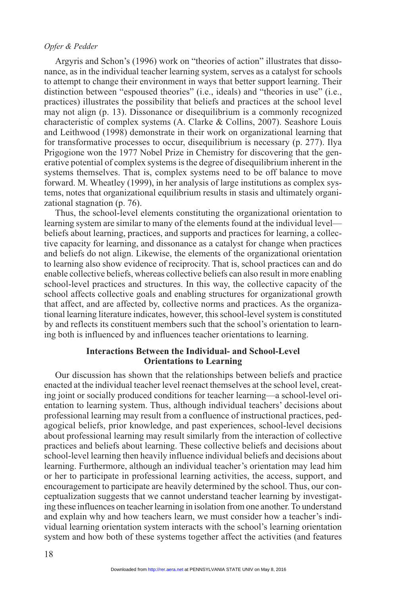Argyris and Schon's (1996) work on "theories of action" illustrates that dissonance, as in the individual teacher learning system, serves as a catalyst for schools to attempt to change their environment in ways that better support learning. Their distinction between "espoused theories" (i.e., ideals) and "theories in use" (i.e., practices) illustrates the possibility that beliefs and practices at the school level may not align (p. 13). Dissonance or disequilibrium is a commonly recognized characteristic of complex systems (A. Clarke & Collins, 2007). Seashore Louis and Leithwood (1998) demonstrate in their work on organizational learning that for transformative processes to occur, disequilibrium is necessary (p. 277). Ilya Prigogione won the 1977 Nobel Prize in Chemistry for discovering that the generative potential of complex systems is the degree of disequilibrium inherent in the systems themselves. That is, complex systems need to be off balance to move forward. M. Wheatley (1999), in her analysis of large institutions as complex systems, notes that organizational equilibrium results in stasis and ultimately organizational stagnation (p. 76).

Thus, the school-level elements constituting the organizational orientation to learning system are similar to many of the elements found at the individual level beliefs about learning, practices, and supports and practices for learning, a collective capacity for learning, and dissonance as a catalyst for change when practices and beliefs do not align. Likewise, the elements of the organizational orientation to learning also show evidence of reciprocity. That is, school practices can and do enable collective beliefs, whereas collective beliefs can also result in more enabling school-level practices and structures. In this way, the collective capacity of the school affects collective goals and enabling structures for organizational growth that affect, and are affected by, collective norms and practices. As the organizational learning literature indicates, however, this school-level system is constituted by and reflects its constituent members such that the school's orientation to learning both is influenced by and influences teacher orientations to learning.

# **Interactions Between the Individual- and School-Level Orientations to Learning**

Our discussion has shown that the relationships between beliefs and practice enacted at the individual teacher level reenact themselves at the school level, creating joint or socially produced conditions for teacher learning—a school-level orientation to learning system. Thus, although individual teachers' decisions about professional learning may result from a confluence of instructional practices, pedagogical beliefs, prior knowledge, and past experiences, school-level decisions about professional learning may result similarly from the interaction of collective practices and beliefs about learning. These collective beliefs and decisions about school-level learning then heavily influence individual beliefs and decisions about learning. Furthermore, although an individual teacher's orientation may lead him or her to participate in professional learning activities, the access, support, and encouragement to participate are heavily determined by the school. Thus, our conceptualization suggests that we cannot understand teacher learning by investigating these influences on teacher learning in isolation from one another. To understand and explain why and how teachers learn, we must consider how a teacher's individual learning orientation system interacts with the school's learning orientation system and how both of these systems together affect the activities (and features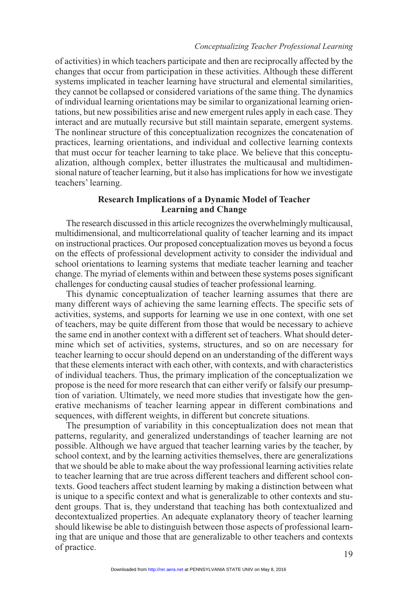of activities) in which teachers participate and then are reciprocally affected by the changes that occur from participation in these activities. Although these different systems implicated in teacher learning have structural and elemental similarities, they cannot be collapsed or considered variations of the same thing. The dynamics of individual learning orientations may be similar to organizational learning orientations, but new possibilities arise and new emergent rules apply in each case. They interact and are mutually recursive but still maintain separate, emergent systems. The nonlinear structure of this conceptualization recognizes the concatenation of practices, learning orientations, and individual and collective learning contexts that must occur for teacher learning to take place. We believe that this conceptualization, although complex, better illustrates the multicausal and multidimensional nature of teacher learning, but it also has implications for how we investigate teachers' learning.

### **Research Implications of a Dynamic Model of Teacher Learning and Change**

The research discussed in this article recognizes the overwhelmingly multicausal, multidimensional, and multicorrelational quality of teacher learning and its impact on instructional practices. Our proposed conceptualization moves us beyond a focus on the effects of professional development activity to consider the individual and school orientations to learning systems that mediate teacher learning and teacher change. The myriad of elements within and between these systems poses significant challenges for conducting causal studies of teacher professional learning.

This dynamic conceptualization of teacher learning assumes that there are many different ways of achieving the same learning effects. The specific sets of activities, systems, and supports for learning we use in one context, with one set of teachers, may be quite different from those that would be necessary to achieve the same end in another context with a different set of teachers. What should determine which set of activities, systems, structures, and so on are necessary for teacher learning to occur should depend on an understanding of the different ways that these elements interact with each other, with contexts, and with characteristics of individual teachers. Thus, the primary implication of the conceptualization we propose is the need for more research that can either verify or falsify our presumption of variation. Ultimately, we need more studies that investigate how the generative mechanisms of teacher learning appear in different combinations and sequences, with different weights, in different but concrete situations.

The presumption of variability in this conceptualization does not mean that patterns, regularity, and generalized understandings of teacher learning are not possible. Although we have argued that teacher learning varies by the teacher, by school context, and by the learning activities themselves, there are generalizations that we should be able to make about the way professional learning activities relate to teacher learning that are true across different teachers and different school contexts. Good teachers affect student learning by making a distinction between what is unique to a specific context and what is generalizable to other contexts and student groups. That is, they understand that teaching has both contextualized and decontextualized properties. An adequate explanatory theory of teacher learning should likewise be able to distinguish between those aspects of professional learning that are unique and those that are generalizable to other teachers and contexts of practice.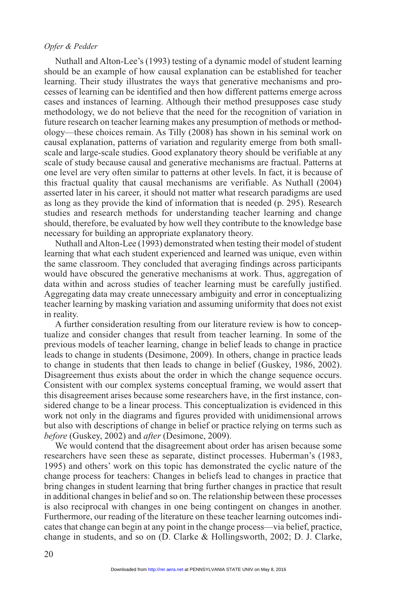Nuthall and Alton-Lee's (1993) testing of a dynamic model of student learning should be an example of how causal explanation can be established for teacher learning. Their study illustrates the ways that generative mechanisms and processes of learning can be identified and then how different patterns emerge across cases and instances of learning. Although their method presupposes case study methodology, we do not believe that the need for the recognition of variation in future research on teacher learning makes any presumption of methods or methodology—these choices remain. As Tilly (2008) has shown in his seminal work on causal explanation, patterns of variation and regularity emerge from both smallscale and large-scale studies. Good explanatory theory should be verifiable at any scale of study because causal and generative mechanisms are fractual. Patterns at one level are very often similar to patterns at other levels. In fact, it is because of this fractual quality that causal mechanisms are verifiable. As Nuthall (2004) asserted later in his career, it should not matter what research paradigms are used as long as they provide the kind of information that is needed (p. 295). Research studies and research methods for understanding teacher learning and change should, therefore, be evaluated by how well they contribute to the knowledge base necessary for building an appropriate explanatory theory.

Nuthall and Alton-Lee (1993) demonstrated when testing their model of student learning that what each student experienced and learned was unique, even within the same classroom. They concluded that averaging findings across participants would have obscured the generative mechanisms at work. Thus, aggregation of data within and across studies of teacher learning must be carefully justified. Aggregating data may create unnecessary ambiguity and error in conceptualizing teacher learning by masking variation and assuming uniformity that does not exist in reality.

A further consideration resulting from our literature review is how to conceptualize and consider changes that result from teacher learning. In some of the previous models of teacher learning, change in belief leads to change in practice leads to change in students (Desimone, 2009). In others, change in practice leads to change in students that then leads to change in belief (Guskey, 1986, 2002). Disagreement thus exists about the order in which the change sequence occurs. Consistent with our complex systems conceptual framing, we would assert that this disagreement arises because some researchers have, in the first instance, considered change to be a linear process. This conceptualization is evidenced in this work not only in the diagrams and figures provided with unidimensional arrows but also with descriptions of change in belief or practice relying on terms such as *before* (Guskey, 2002) and *after* (Desimone, 2009).

We would contend that the disagreement about order has arisen because some researchers have seen these as separate, distinct processes. Huberman's (1983, 1995) and others' work on this topic has demonstrated the cyclic nature of the change process for teachers: Changes in beliefs lead to changes in practice that bring changes in student learning that bring further changes in practice that result in additional changes in belief and so on. The relationship between these processes is also reciprocal with changes in one being contingent on changes in another. Furthermore, our reading of the literature on these teacher learning outcomes indicates that change can begin at any point in the change process—via belief, practice, change in students, and so on (D. Clarke & Hollingsworth, 2002; D. J. Clarke,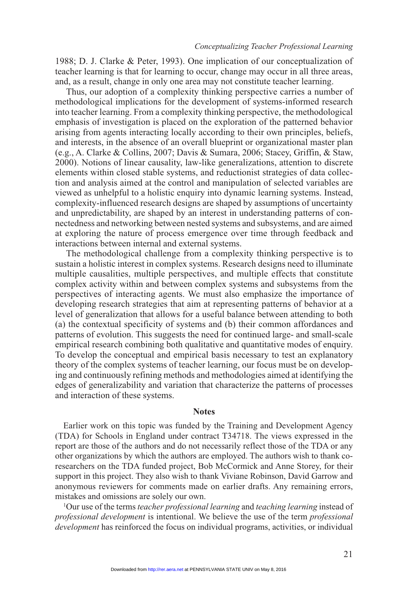1988; D. J. Clarke & Peter, 1993). One implication of our conceptualization of teacher learning is that for learning to occur, change may occur in all three areas, and, as a result, change in only one area may not constitute teacher learning.

Thus, our adoption of a complexity thinking perspective carries a number of methodological implications for the development of systems-informed research into teacher learning. From a complexity thinking perspective, the methodological emphasis of investigation is placed on the exploration of the patterned behavior arising from agents interacting locally according to their own principles, beliefs, and interests, in the absence of an overall blueprint or organizational master plan (e.g., A. Clarke & Collins, 2007; Davis & Sumara, 2006; Stacey, Griffin, & Staw, 2000). Notions of linear causality, law-like generalizations, attention to discrete elements within closed stable systems, and reductionist strategies of data collection and analysis aimed at the control and manipulation of selected variables are viewed as unhelpful to a holistic enquiry into dynamic learning systems. Instead, complexity-influenced research designs are shaped by assumptions of uncertainty and unpredictability, are shaped by an interest in understanding patterns of connectedness and networking between nested systems and subsystems, and are aimed at exploring the nature of process emergence over time through feedback and interactions between internal and external systems.

The methodological challenge from a complexity thinking perspective is to sustain a holistic interest in complex systems. Research designs need to illuminate multiple causalities, multiple perspectives, and multiple effects that constitute complex activity within and between complex systems and subsystems from the perspectives of interacting agents. We must also emphasize the importance of developing research strategies that aim at representing patterns of behavior at a level of generalization that allows for a useful balance between attending to both (a) the contextual specificity of systems and (b) their common affordances and patterns of evolution. This suggests the need for continued large- and small-scale empirical research combining both qualitative and quantitative modes of enquiry. To develop the conceptual and empirical basis necessary to test an explanatory theory of the complex systems of teacher learning, our focus must be on developing and continuously refining methods and methodologies aimed at identifying the edges of generalizability and variation that characterize the patterns of processes and interaction of these systems.

### **Notes**

Earlier work on this topic was funded by the Training and Development Agency (TDA) for Schools in England under contract T34718. The views expressed in the report are those of the authors and do not necessarily reflect those of the TDA or any other organizations by which the authors are employed. The authors wish to thank coresearchers on the TDA funded project, Bob McCormick and Anne Storey, for their support in this project. They also wish to thank Viviane Robinson, David Garrow and anonymous reviewers for comments made on earlier drafts. Any remaining errors, mistakes and omissions are solely our own.

1Our use of the terms *teacher professional learning* and *teaching learning* instead of *professional development* is intentional. We believe the use of the term *professional development* has reinforced the focus on individual programs, activities, or individual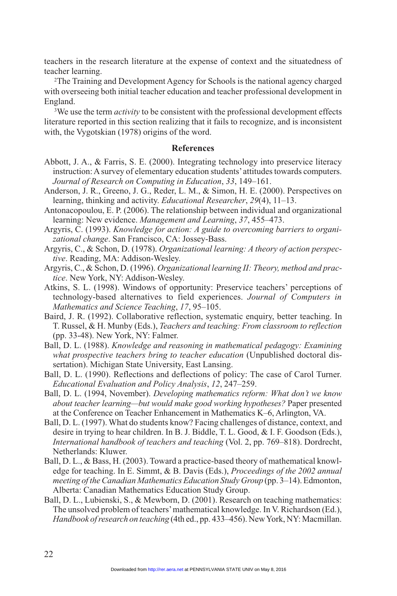teachers in the research literature at the expense of context and the situatedness of teacher learning.

2The Training and Development Agency for Schools is the national agency charged with overseeing both initial teacher education and teacher professional development in England.

<sup>3</sup>We use the term *activity* to be consistent with the professional development effects literature reported in this section realizing that it fails to recognize, and is inconsistent with, the Vygotskian (1978) origins of the word.

### **References**

- Abbott, J. A., & Farris, S. E. (2000). Integrating technology into preservice literacy instruction: A survey of elementary education students' attitudes towards computers. *Journal of Research on Computing in Education*, *33*, 149–161.
- Anderson, J. R., Greeno, J. G., Reder, L. M., & Simon, H. E. (2000). Perspectives on learning, thinking and activity. *Educational Researcher*, *29*(4), 11–13.
- Antonacopoulou, E. P. (2006). The relationship between individual and organizational learning: New evidence. *Management and Learning*, *37*, 455–473.
- Argyris, C. (1993). *Knowledge for action: A guide to overcoming barriers to organizational change*. San Francisco, CA: Jossey-Bass.
- Argyris, C., & Schon, D. (1978). *Organizational learning: A theory of action perspective*. Reading, MA: Addison-Wesley.
- Argyris, C., & Schon, D. (1996). *Organizational learning II: Theory, method and practice*. New York, NY: Addison-Wesley.
- Atkins, S. L. (1998). Windows of opportunity: Preservice teachers' perceptions of technology-based alternatives to field experiences. *Journal of Computers in Mathematics and Science Teaching*, *17*, 95–105.
- Baird, J. R. (1992). Collaborative reflection, systematic enquiry, better teaching. In T. Russel, & H. Munby (Eds.), *Teachers and teaching: From classroom to reflection* (pp. 33-48). New York, NY: Falmer.
- Ball, D. L. (1988). *Knowledge and reasoning in mathematical pedagogy: Examining what prospective teachers bring to teacher education* (Unpublished doctoral dissertation). Michigan State University, East Lansing.
- Ball, D. L. (1990). Reflections and deflections of policy: The case of Carol Turner. *Educational Evaluation and Policy Analysis*, *12*, 247–259.
- Ball, D. L. (1994, November). *Developing mathematics reform: What don't we know about teacher learning—but would make good working hypotheses?* Paper presented at the Conference on Teacher Enhancement in Mathematics K–6, Arlington, VA.
- Ball, D. L. (1997). What do students know? Facing challenges of distance, context, and desire in trying to hear children. In B. J. Biddle, T. L. Good, & I. F. Goodson (Eds.), *International handbook of teachers and teaching* (Vol. 2, pp. 769–818). Dordrecht, Netherlands: Kluwer.
- Ball, D. L., & Bass, H. (2003). Toward a practice-based theory of mathematical knowledge for teaching. In E. Simmt, & B. Davis (Eds.), *Proceedings of the 2002 annual meeting of the Canadian Mathematics Education Study Group* (pp. 3–14). Edmonton, Alberta: Canadian Mathematics Education Study Group.
- Ball, D. L., Lubienski, S., & Mewborn, D. (2001). Research on teaching mathematics: The unsolved problem of teachers' mathematical knowledge. In V. Richardson (Ed.), *Handbook of research on teaching* (4th ed., pp. 433–456). New York, NY: Macmillan.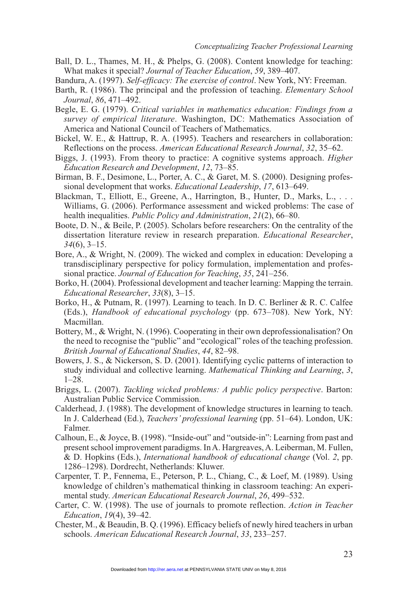- Ball, D. L., Thames, M. H., & Phelps, G. (2008). Content knowledge for teaching: What makes it special? *Journal of Teacher Education*, *59*, 389–407.
- Bandura, A. (1997). *Self-efficacy: The exercise of control*. New York, NY: Freeman.
- Barth, R. (1986). The principal and the profession of teaching. *Elementary School Journal*, *86*, 471–492.
- Begle, E. G. (1979). *Critical variables in mathematics education: Findings from a survey of empirical literature*. Washington, DC: Mathematics Association of America and National Council of Teachers of Mathematics.
- Bickel, W. E., & Hattrup, R. A. (1995). Teachers and researchers in collaboration: Reflections on the process. *American Educational Research Journal*, *32*, 35–62.
- Biggs, J. (1993). From theory to practice: A cognitive systems approach. *Higher Education Research and Development*, *12*, 73–85.
- Birman, B. F., Desimone, L., Porter, A. C., & Garet, M. S. (2000). Designing professional development that works. *Educational Leadership*, *17*, 613–649.
- Blackman, T., Elliott, E., Greene, A., Harrington, B., Hunter, D., Marks, L., . . . Williams, G. (2006). Performance assessment and wicked problems: The case of health inequalities. *Public Policy and Administration*, *21*(2), 66–80.
- Boote, D. N., & Beile, P. (2005). Scholars before researchers: On the centrality of the dissertation literature review in research preparation. *Educational Researcher*, *34*(6), 3–15.
- Bore, A., & Wright, N. (2009). The wicked and complex in education: Developing a transdisciplinary perspective for policy formulation, implementation and professional practice. *Journal of Education for Teaching*, *35*, 241–256.
- Borko, H. (2004). Professional development and teacher learning: Mapping the terrain. *Educational Researcher*, *33*(8), 3–15.
- Borko, H., & Putnam, R. (1997). Learning to teach. In D. C. Berliner & R. C. Calfee (Eds.), *Handbook of educational psychology* (pp. 673–708). New York, NY: Macmillan.
- Bottery, M., & Wright, N. (1996). Cooperating in their own deprofessionalisation? On the need to recognise the "public" and "ecological" roles of the teaching profession. *British Journal of Educational Studies*, *44*, 82–98.
- Bowers, J. S., & Nickerson, S. D. (2001). Identifying cyclic patterns of interaction to study individual and collective learning. *Mathematical Thinking and Learning*, *3*, 1–28.
- Briggs, L. (2007). *Tackling wicked problems: A public policy perspective*. Barton: Australian Public Service Commission.
- Calderhead, J. (1988). The development of knowledge structures in learning to teach. In J. Calderhead (Ed.), *Teachers' professional learning* (pp. 51–64). London, UK: Falmer.
- Calhoun, E., & Joyce, B. (1998). "Inside-out" and "outside-in": Learning from past and present school improvement paradigms. In A. Hargreaves, A. Leiberman, M. Fullen, & D. Hopkins (Eds.), *International handbook of educational change* (Vol. *2*, pp. 1286–1298). Dordrecht, Netherlands: Kluwer.
- Carpenter, T. P., Fennema, E., Peterson, P. L., Chiang, C., & Loef, M. (1989). Using knowledge of children's mathematical thinking in classroom teaching: An experimental study. *American Educational Research Journal*, *26*, 499–532.
- Carter, C. W. (1998). The use of journals to promote reflection. *Action in Teacher Education*, *19*(4), 39–42.
- Chester, M., & Beaudin, B. Q. (1996). Efficacy beliefs of newly hired teachers in urban schools. *American Educational Research Journal*, *33*, 233–257.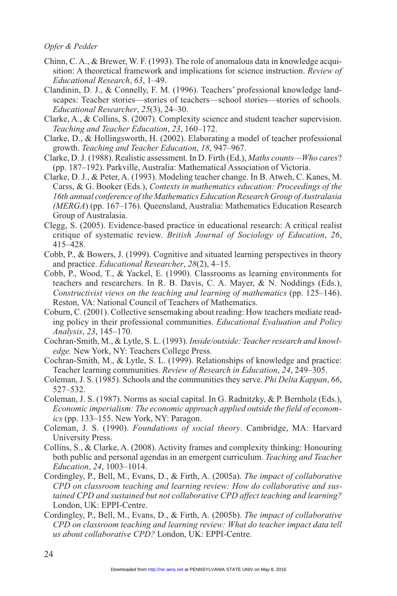- Chinn, C. A., & Brewer, W. F. (1993). The role of anomalous data in knowledge acquisition: A theoretical framework and implications for science instruction. *Review of Educational Research*, *63*, 1–49.
- Clandinin, D. J., & Connelly, F. M. (1996). Teachers' professional knowledge landscapes: Teacher stories—stories of teachers—school stories—stories of schools. *Educational Researcher*, *25*(3), 24–30.
- Clarke, A., & Collins, S. (2007). Complexity science and student teacher supervision. *Teaching and Teacher Education*, *23*, 160–172.
- Clarke, D., & Hollingsworth, H. (2002). Elaborating a model of teacher professional growth. *Teaching and Teacher Education*, *18*, 947–967.
- Clarke, D. J. (1988). Realistic assessment. In D. Firth (Ed.), *Maths counts—Who cares*? (pp. 187–192). Parkville, Australia: Mathematical Association of Victoria.
- Clarke, D. J., & Peter, A. (1993). Modeling teacher change. In B. Atweh, C. Kanes, M. Carss, & G. Booker (Eds.), *Contexts in mathematics education: Proceedings of the 16th annual conference of the Mathematics Education Research Group of Australasia (MERGA*) (pp. 167–176). Queensland, Australia: Mathematics Education Research Group of Australasia.
- Clegg, S. (2005). Evidence-based practice in educational research: A critical realist critique of systematic review. *British Journal of Sociology of Education*, *26*, 415–428.
- Cobb, P., & Bowers, J. (1999). Cognitive and situated learning perspectives in theory and practice. *Educational Researcher*, *28*(2), 4–15.
- Cobb, P., Wood, T., & Yackel, E. (1990). Classrooms as learning environments for teachers and researchers. In R. B. Davis, C. A. Mayer, & N. Noddings (Eds.), *Constructivist views on the teaching and learning of mathematics* (pp. 125–146). Reston, VA: National Council of Teachers of Mathematics.
- Coburn, C. (2001). Collective sensemaking about reading: How teachers mediate reading policy in their professional communities. *Educational Evaluation and Policy Analysis*, *23*, 145–170.
- Cochran-Smith, M., & Lytle, S. L. (1993). *Inside/outside: Teacher research and knowledge.* New York, NY: Teachers College Press.
- Cochran-Smith, M., & Lytle, S. L. (1999). Relationships of knowledge and practice: Teacher learning communities. *Review of Research in Education*, *24*, 249–305.
- Coleman, J. S. (1985). Schools and the communities they serve. *Phi Delta Kappan*, *66*, 527–532.
- Coleman, J. S. (1987). Norms as social capital. In G. Radnitzky, & P. Bernholz (Eds.), *Economic imperialism: The economic approach applied outside the field of economics* (pp. 133–155. New York, NY: Paragon.
- Coleman, J. S. (1990). *Foundations of social theory*. Cambridge, MA: Harvard University Press.
- Collins, S., & Clarke, A. (2008). Activity frames and complexity thinking: Honouring both public and personal agendas in an emergent curriculum. *Teaching and Teacher Education*, *24*, 1003–1014.
- Cordingley, P., Bell, M., Evans, D., & Firth, A. (2005a). *The impact of collaborative CPD on classroom teaching and learning review: How do collaborative and sustained CPD and sustained but not collaborative CPD affect teaching and learning?* London, UK: EPPI-Centre.
- Cordingley, P., Bell, M., Evans, D., & Firth, A. (2005b). *The impact of collaborative CPD on classroom teaching and learning review: What do teacher impact data tell us about collaborative CPD?* London, UK: EPPI-Centre.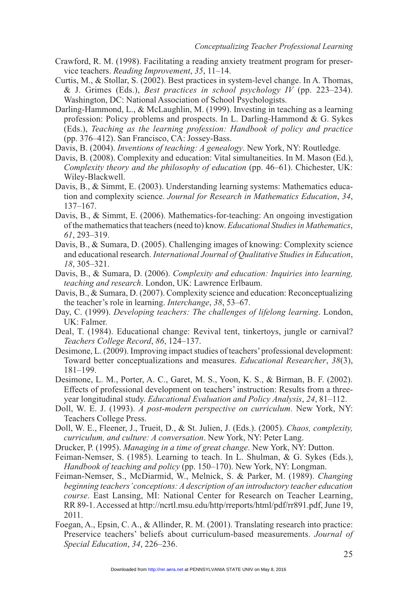- Crawford, R. M. (1998). Facilitating a reading anxiety treatment program for preservice teachers. *Reading Improvement*, *35*, 11–14.
- Curtis, M., & Stollar, S. (2002). Best practices in system-level change. In A. Thomas, & J. Grimes (Eds.), *Best practices in school psychology IV* (pp. 223–234). Washington, DC: National Association of School Psychologists.
- Darling-Hammond, L., & McLaughlin, M. (1999). Investing in teaching as a learning profession: Policy problems and prospects. In L. Darling-Hammond & G. Sykes (Eds.), *Teaching as the learning profession: Handbook of policy and practice* (pp. 376–412). San Francisco, CA: Jossey-Bass.
- Davis, B. (2004). *Inventions of teaching: A genealogy*. New York, NY: Routledge.
- Davis, B. (2008). Complexity and education: Vital simultaneities. In M. Mason (Ed.), *Complexity theory and the philosophy of education* (pp. 46–61). Chichester, UK: Wiley-Blackwell.
- Davis, B., & Simmt, E. (2003). Understanding learning systems: Mathematics education and complexity science. *Journal for Research in Mathematics Education*, *34*, 137–167.
- Davis, B., & Simmt, E. (2006). Mathematics-for-teaching: An ongoing investigation of the mathematics that teachers (need to) know. *Educational Studies in Mathematics*, *61*, 293–319.
- Davis, B., & Sumara, D. (2005). Challenging images of knowing: Complexity science and educational research. *International Journal of Qualitative Studies in Education*, *18*, 305–321.
- Davis, B., & Sumara, D. (2006). *Complexity and education: Inquiries into learning, teaching and research*. London, UK: Lawrence Erlbaum.
- Davis, B., & Sumara, D. (2007). Complexity science and education: Reconceptualizing the teacher's role in learning. *Interchange*, *38*, 53–67.
- Day, C. (1999). *Developing teachers: The challenges of lifelong learning*. London, UK: Falmer.
- Deal, T. (1984). Educational change: Revival tent, tinkertoys, jungle or carnival? *Teachers College Record*, *86*, 124–137.
- Desimone, L. (2009). Improving impact studies of teachers' professional development: Toward better conceptualizations and measures. *Educational Researcher*, *38*(3), 181–199.
- Desimone, L. M., Porter, A. C., Garet, M. S., Yoon, K. S., & Birman, B. F. (2002). Effects of professional development on teachers' instruction: Results from a threeyear longitudinal study. *Educational Evaluation and Policy Analysis*, *24*, 81–112.
- Doll, W. E. J. (1993). *A post-modern perspective on curriculum*. New York, NY: Teachers College Press.
- Doll, W. E., Fleener, J., Trueit, D., & St. Julien, J. (Eds.). (2005). *Chaos, complexity, curriculum, and culture: A conversation*. New York, NY: Peter Lang.
- Drucker, P. (1995). *Managing in a time of great change*. New York, NY: Dutton.
- Feiman-Nemser, S. (1985). Learning to teach. In L. Shulman, & G. Sykes (Eds.), *Handbook of teaching and policy* (pp. 150–170). New York, NY: Longman.
- Feiman-Nemser, S., McDiarmid, W., Melnick, S. & Parker, M. (1989). *Changing beginning teachers' conceptions: A description of an introductory teacher education course*. East Lansing, MI: National Center for Research on Teacher Learning, RR 89-1. Accessed at http://ncrtl.msu.edu/http/rreports/html/pdf/rr891.pdf, June 19, 2011.
- Foegan, A., Epsin, C. A., & Allinder, R. M. (2001). Translating research into practice: Preservice teachers' beliefs about curriculum-based measurements. *Journal of Special Education*, *34*, 226–236.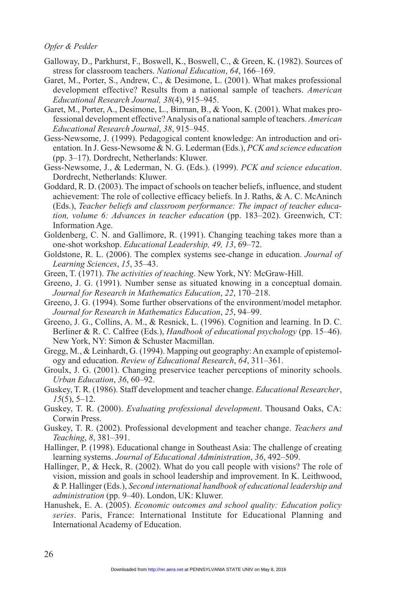- Galloway, D., Parkhurst, F., Boswell, K., Boswell, C., & Green, K. (1982). Sources of stress for classroom teachers. *National Education*, *64*, 166–169.
- Garet, M., Porter, S., Andrew, C., & Desimone, L. (2001). What makes professional development effective? Results from a national sample of teachers. *American Educational Research Journal, 38*(4), 915–945.
- Garet, M., Porter, A., Desimone, L., Birman, B., & Yoon, K. (2001). What makes professional development effective? Analysis of a national sample of teachers. *American Educational Research Journal*, *38*, 915–945.
- Gess-Newsome, J. (1999). Pedagogical content knowledge: An introduction and orientation. In J. Gess-Newsome & N. G. Lederman (Eds.), *PCK and science education* (pp. 3–17). Dordrecht, Netherlands: Kluwer.
- Gess-Newsome, J., & Lederman, N. G. (Eds.). (1999). *PCK and science education*. Dordrecht, Netherlands: Kluwer.
- Goddard, R. D. (2003). The impact of schools on teacher beliefs, influence, and student achievement: The role of collective efficacy beliefs. In J. Raths, & A. C. McAninch (Eds.), *Teacher beliefs and classroom performance: The impact of teacher education, volume 6: Advances in teacher education* (pp. 183–202). Greenwich, CT: Information Age.
- Goldenberg, C. N. and Gallimore, R. (1991). Changing teaching takes more than a one-shot workshop. *Educational Leadership, 49, 13*, 69–72.
- Goldstone, R. L. (2006). The complex systems see-change in education. *Journal of Learning Sciences*, *15*, 35–43.
- Green, T. (1971). *The activities of teaching*. New York, NY: McGraw-Hill.
- Greeno, J. G. (1991). Number sense as situated knowing in a conceptual domain. *Journal for Research in Mathematics Education*, *22*, 170–218.
- Greeno, J. G. (1994). Some further observations of the environment/model metaphor. *Journal for Research in Mathematics Education*, *25*, 94–99.
- Greeno, J. G., Collins, A. M., & Resnick, L. (1996). Cognition and learning. In D. C. Berliner & R. C. Calfree (Eds.), *Handbook of educational psychology* (pp. 15–46). New York, NY: Simon & Schuster Macmillan.
- Gregg, M., & Leinhardt, G. (1994). Mapping out geography: An example of epistemology and education. *Review of Educational Research*, *64*, 311–361.
- Groulx, J. G. (2001). Changing preservice teacher perceptions of minority schools. *Urban Education*, *36*, 60–92.
- Guskey, T. R. (1986). Staff development and teacher change. *Educational Researcher*, *15*(5), 5–12.
- Guskey, T. R. (2000). *Evaluating professional development*. Thousand Oaks, CA: Corwin Press.
- Guskey, T. R. (2002). Professional development and teacher change. *Teachers and Teaching*, *8*, 381–391.
- Hallinger, P. (1998). Educational change in Southeast Asia: The challenge of creating learning systems. *Journal of Educational Administration*, *36*, 492–509.
- Hallinger, P., & Heck, R. (2002). What do you call people with visions? The role of vision, mission and goals in school leadership and improvement. In K. Leithwood, & P. Hallinger (Eds.), *Second international handbook of educational leadership and administration* (pp. 9–40). London, UK: Kluwer.
- Hanushek, E. A. (2005). *Economic outcomes and school quality: Education policy series*. Paris, France: International Institute for Educational Planning and International Academy of Education.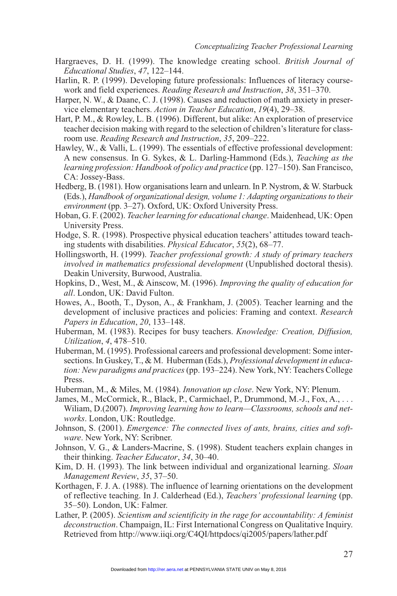- Hargraeves, D. H. (1999). The knowledge creating school. *British Journal of Educational Studies*, *47*, 122–144.
- Harlin, R. P. (1999). Developing future professionals: Influences of literacy coursework and field experiences. *Reading Research and Instruction*, *38*, 351–370.
- Harper, N. W., & Daane, C. J. (1998). Causes and reduction of math anxiety in preservice elementary teachers. *Action in Teacher Education*, *19*(4), 29–38.
- Hart, P. M., & Rowley, L. B. (1996). Different, but alike: An exploration of preservice teacher decision making with regard to the selection of children's literature for classroom use. *Reading Research and Instruction*, *35*, 209–222.
- Hawley, W., & Valli, L. (1999). The essentials of effective professional development: A new consensus. In G. Sykes, & L. Darling-Hammond (Eds.), *Teaching as the learning profession: Handbook of policy and practice* (pp. 127–150). San Francisco, CA: Jossey-Bass.
- Hedberg, B. (1981). How organisations learn and unlearn. In P. Nystrom, & W. Starbuck (Eds.), *Handbook of organizational design, volume 1: Adapting organizations to their environment* (pp. 3–27). Oxford, UK: Oxford University Press.
- Hoban, G. F. (2002). *Teacher learning for educational change*. Maidenhead, UK: Open University Press.
- Hodge, S. R. (1998). Prospective physical education teachers' attitudes toward teaching students with disabilities. *Physical Educator*, *55*(2), 68–77.
- Hollingsworth, H. (1999). *Teacher professional growth: A study of primary teachers involved in mathematics professional development* (Unpublished doctoral thesis). Deakin University, Burwood, Australia.
- Hopkins, D., West, M., & Ainscow, M. (1996). *Improving the quality of education for all*. London, UK: David Fulton.
- Howes, A., Booth, T., Dyson, A., & Frankham, J. (2005). Teacher learning and the development of inclusive practices and policies: Framing and context. *Research Papers in Education*, *20*, 133–148.
- Huberman, M. (1983). Recipes for busy teachers. *Knowledge: Creation, Diffusion, Utilization*, *4*, 478–510.
- Huberman, M. (1995). Professional careers and professional development: Some intersections. In Guskey, T., & M. Huberman (Eds.), *Professional development in education: New paradigms and practices* (pp. 193–224). New York, NY: Teachers College Press.
- Huberman, M., & Miles, M. (1984). *Innovation up close*. New York, NY: Plenum.
- James, M., McCormick, R., Black, P., Carmichael, P., Drummond, M.-J., Fox, A., . . . Wiliam, D.(2007). *Improving learning how to learn—Classrooms, schools and networks*. London, UK: Routledge.
- Johnson, S. (2001). *Emergence: The connected lives of ants, brains, cities and software*. New York, NY: Scribner.
- Johnson, V. G., & Landers-Macrine, S. (1998). Student teachers explain changes in their thinking. *Teacher Educator*, *34*, 30–40.
- Kim, D. H. (1993). The link between individual and organizational learning. *Sloan Management Review*, *35*, 37–50.
- Korthagen, F. J. A. (1988). The influence of learning orientations on the development of reflective teaching. In J. Calderhead (Ed.), *Teachers' professional learning* (pp. 35–50). London, UK: Falmer.
- Lather, P. (2005). *Scientism and scientificity in the rage for accountability: A feminist deconstruction*. Champaign, IL: First International Congress on Qualitative Inquiry. Retrieved from http://www.iiqi.org/C4QI/httpdocs/qi2005/papers/lather.pdf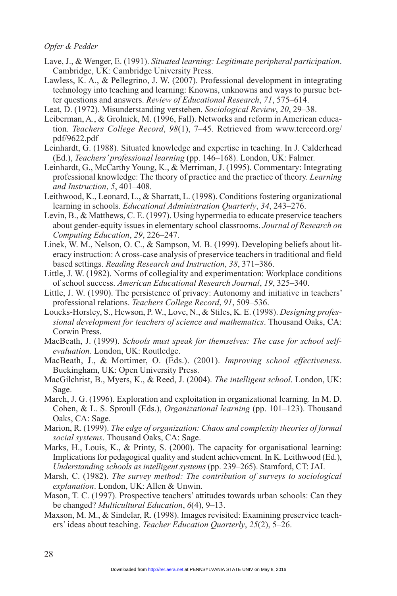- Lave, J., & Wenger, E. (1991). *Situated learning: Legitimate peripheral participation*. Cambridge, UK: Cambridge University Press.
- Lawless, K. A., & Pellegrino, J. W. (2007). Professional development in integrating technology into teaching and learning: Knowns, unknowns and ways to pursue better questions and answers. *Review of Educational Research*, *71*, 575–614.
- Leat, D. (1972). Misunderstanding verstehen. *Sociological Review*, *20*, 29–38.
- Leiberman, A., & Grolnick, M. (1996, Fall). Networks and reform in American education. *Teachers College Record*, *98*(1), 7–45. Retrieved from www.tcrecord.org/ pdf/9622.pdf
- Leinhardt, G. (1988). Situated knowledge and expertise in teaching. In J. Calderhead (Ed.), *Teachers' professional learning* (pp. 146–168). London, Uk: Falmer.
- Leinhardt, G., McCarthy Young, K., & Merriman, J. (1995). Commentary: Integrating professional knowledge: The theory of practice and the practice of theory. *Learning and Instruction*, *5*, 401–408.
- Leithwood, K., Leonard, L., & Sharratt, L. (1998). Conditions fostering organizational learning in schools. *Educational Administration Quarterly*, *34*, 243–276.
- Levin, B., & Matthews, C. E. (1997). Using hypermedia to educate preservice teachers about gender-equity issues in elementary school classrooms. *Journal of Research on Computing Education*, *29*, 226–247.
- Linek, W. M., Nelson, O. C., & Sampson, M. B. (1999). Developing beliefs about literacy instruction: A cross-case analysis of preservice teachers in traditional and field based settings. *Reading Research and Instruction*, *38*, 371–386.
- Little, J. W. (1982). Norms of collegiality and experimentation: Workplace conditions of school success. *American Educational Research Journal*, *19*, 325–340.
- Little, J. W. (1990). The persistence of privacy: Autonomy and initiative in teachers' professional relations. *Teachers College Record*, *91*, 509–536.
- Loucks-Horsley, S., Hewson, P. W., Love, N., & Stiles, K. E. (1998). *Designing professional development for teachers of science and mathematics*. Thousand Oaks, CA: Corwin Press.
- MacBeath, J. (1999). *Schools must speak for themselves: The case for school selfevaluation*. London, UK: Routledge.
- MacBeath, J., & Mortimer, O. (Eds.). (2001). *Improving school effectiveness*. Buckingham, UK: Open University Press.
- MacGilchrist, B., Myers, K., & Reed, J. (2004). *The intelligent school*. London, UK: Sage.
- March, J. G. (1996). Exploration and exploitation in organizational learning. In M. D. Cohen, & L. S. Sproull (Eds.), *Organizational learning* (pp. 101–123). Thousand Oaks, CA: Sage.
- Marion, R. (1999). *The edge of organization: Chaos and complexity theories of formal social systems*. Thousand Oaks, CA: Sage.
- Marks, H., Louis, K., & Printy, S. (2000). The capacity for organisational learning: Implications for pedagogical quality and student achievement. In K. Leithwood (Ed.), *Understanding schools as intelligent systems* (pp. 239–265). Stamford, CT: JAI.
- Marsh, C. (1982). *The survey method: The contribution of surveys to sociological explanation*. London, UK: Allen & Unwin.
- Mason, T. C. (1997). Prospective teachers' attitudes towards urban schools: Can they be changed? *Multicultural Education*, *6*(4), 9–13.
- Maxson, M. M., & Sindelar, R. (1998). Images revisited: Examining preservice teachers' ideas about teaching. *Teacher Education Quarterly*, *25*(2), 5–26.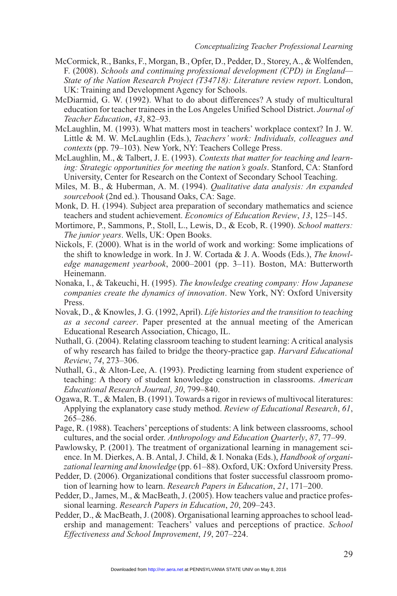- McCormick, R., Banks, F., Morgan, B., Opfer, D., Pedder, D., Storey, A., & Wolfenden, F. (2008). *Schools and continuing professional development (CPD) in England— State of the Nation Research Project (T34718): Literature review report*. London, UK: Training and Development Agency for Schools.
- McDiarmid, G. W. (1992). What to do about differences? A study of multicultural education for teacher trainees in the Los Angeles Unified School District. *Journal of Teacher Education*, *43*, 82–93.
- McLaughlin, M. (1993). What matters most in teachers' workplace context? In J. W. Little & M. W. McLaughlin (Eds.), *Teachers' work: Individuals, colleagues and contexts* (pp. 79–103). New York, NY: Teachers College Press.
- McLaughlin, M., & Talbert, J. E. (1993). *Contexts that matter for teaching and learning: Strategic opportunities for meeting the nation's goals*. Stanford, CA: Stanford University, Center for Research on the Context of Secondary School Teaching.
- Miles, M. B., & Huberman, A. M. (1994). *Qualitative data analysis: An expanded sourcebook* (2nd ed.). Thousand Oaks, CA: Sage.
- Monk, D. H. (1994). Subject area preparation of secondary mathematics and science teachers and student achievement. *Economics of Education Review*, *13*, 125–145.
- Mortimore, P., Sammons, P., Stoll, L., Lewis, D., & Ecob, R. (1990). *School matters: The junior years*. Wells, UK: Open Books.
- Nickols, F. (2000). What is in the world of work and working: Some implications of the shift to knowledge in work. In J. W. Cortada & J. A. Woods (Eds.), *The knowledge management yearbook*, 2000–2001 (pp. 3–11). Boston, MA: Butterworth Heinemann.
- Nonaka, I., & Takeuchi, H. (1995). *The knowledge creating company: How Japanese companies create the dynamics of innovation*. New York, NY: Oxford University Press.
- Novak, D., & Knowles, J. G. (1992, April). *Life histories and the transition to teaching as a second career*. Paper presented at the annual meeting of the American Educational Research Association, Chicago, IL.
- Nuthall, G. (2004). Relating classroom teaching to student learning: A critical analysis of why research has failed to bridge the theory-practice gap. *Harvard Educational Review*, *74*, 273–306.
- Nuthall, G., & Alton-Lee, A. (1993). Predicting learning from student experience of teaching: A theory of student knowledge construction in classrooms. *American Educational Research Journal*, *30*, 799–840.
- Ogawa, R. T., & Malen, B. (1991). Towards a rigor in reviews of multivocal literatures: Applying the explanatory case study method. *Review of Educational Research*, *61*, 265–286.
- Page, R. (1988). Teachers' perceptions of students: A link between classrooms, school cultures, and the social order. *Anthropology and Education Quarterly*, *87*, 77–99.
- Pawlowsky, P. (2001). The treatment of organizational learning in management science. In M. Dierkes, A. B. Antal, J. Child, & I. Nonaka (Eds.), *Handbook of organizational learning and knowledge* (pp. 61–88). Oxford, UK: Oxford University Press.
- Pedder, D. (2006). Organizational conditions that foster successful classroom promotion of learning how to learn. *Research Papers in Education*, *21*, 171–200.
- Pedder, D., James, M., & MacBeath, J. (2005). How teachers value and practice professional learning. *Research Papers in Education*, *20*, 209–243.
- Pedder, D., & MacBeath, J. (2008). Organisational learning approaches to school leadership and management: Teachers' values and perceptions of practice. *School Effectiveness and School Improvement*, *19*, 207–224.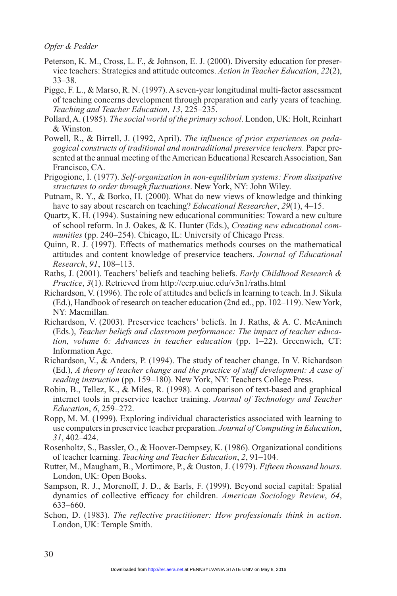- Peterson, K. M., Cross, L. F., & Johnson, E. J. (2000). Diversity education for preservice teachers: Strategies and attitude outcomes. *Action in Teacher Education*, *22*(2), 33–38.
- Pigge, F. L., & Marso, R. N. (1997). A seven-year longitudinal multi-factor assessment of teaching concerns development through preparation and early years of teaching. *Teaching and Teacher Education*, *13*, 225–235.
- Pollard, A. (1985). *The social world of the primary school*. London, UK: Holt, Reinhart & Winston.
- Powell, R., & Birrell, J. (1992, April). *The influence of prior experiences on pedagogical constructs of traditional and nontraditional preservice teachers*. Paper presented at the annual meeting of the American Educational Research Association, San Francisco, CA.
- Prigogione, I. (1977). *Self-organization in non-equilibrium systems: From dissipative structures to order through fluctuations*. New York, NY: John Wiley.
- Putnam, R. Y., & Borko, H. (2000). What do new views of knowledge and thinking have to say about research on teaching? *Educational Researcher*, *29*(1), 4–15.
- Quartz, K. H. (1994). Sustaining new educational communities: Toward a new culture of school reform. In J. Oakes, & K. Hunter (Eds.), *Creating new educational communities* (pp. 240–254). Chicago, IL: University of Chicago Press.
- Quinn, R. J. (1997). Effects of mathematics methods courses on the mathematical attitudes and content knowledge of preservice teachers. *Journal of Educational Research*, *91*, 108–113.
- Raths, J. (2001). Teachers' beliefs and teaching beliefs. *Early Childhood Research & Practice*, *3*(1). Retrieved from http://ecrp.uiuc.edu/v3n1/raths.html
- Richardson, V. (1996). The role of attitudes and beliefs in learning to teach. In J. Sikula (Ed.), Handbook of research on teacher education (2nd ed., pp. 102–119). New York, NY: Macmillan.
- Richardson, V. (2003). Preservice teachers' beliefs. In J. Raths, & A. C. McAninch (Eds.), *Teacher beliefs and classroom performance: The impact of teacher education, volume 6: Advances in teacher education* (pp. 1–22). Greenwich, CT: Information Age.
- Richardson, V., & Anders, P. (1994). The study of teacher change. In V. Richardson (Ed.), *A theory of teacher change and the practice of staff development: A case of reading instruction* (pp. 159–180). New York, NY: Teachers College Press.
- Robin, B., Tellez, K., & Miles, R. (1998). A comparison of text-based and graphical internet tools in preservice teacher training. *Journal of Technology and Teacher Education*, *6*, 259–272.
- Ropp, M. M. (1999). Exploring individual characteristics associated with learning to use computers in preservice teacher preparation. *Journal of Computing in Education*, *31*, 402–424.
- Rosenholtz, S., Bassler, O., & Hoover-Dempsey, K. (1986). Organizational conditions of teacher learning. *Teaching and Teacher Education*, *2*, 91–104.
- Rutter, M., Maugham, B., Mortimore, P., & Ouston, J. (1979). *Fifteen thousand hours*. London, UK: Open Books.
- Sampson, R. J., Morenoff, J. D., & Earls, F. (1999). Beyond social capital: Spatial dynamics of collective efficacy for children. *American Sociology Review*, *64*, 633–660.
- Schon, D. (1983). *The reflective practitioner: How professionals think in action*. London, UK: Temple Smith.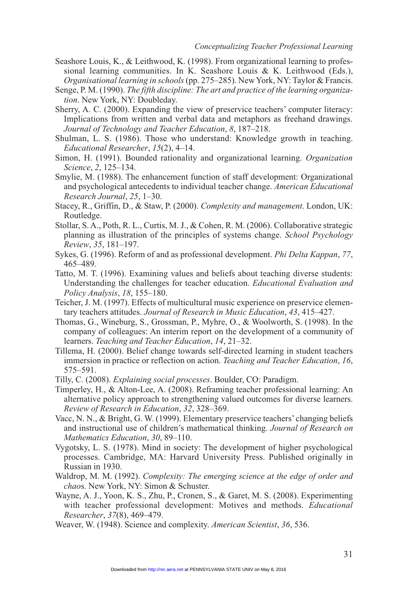- Seashore Louis, K., & Leithwood, K. (1998). From organizational learning to professional learning communities. In K. Seashore Louis & K. Leithwood (Eds.), *Organisational learning in schools* (pp. 275–285). New York, NY: Taylor & Francis.
- Senge, P. M. (1990). *The fifth discipline: The art and practice of the learning organization*. New York, NY: Doubleday.
- Sherry, A. C. (2000). Expanding the view of preservice teachers' computer literacy: Implications from written and verbal data and metaphors as freehand drawings. *Journal of Technology and Teacher Education*, *8*, 187–218.
- Shulman, L. S. (1986). Those who understand: Knowledge growth in teaching. *Educational Researcher*, *15*(2), 4–14.
- Simon, H. (1991). Bounded rationality and organizational learning. *Organization Science*, *2*, 125–134.
- Smylie, M. (1988). The enhancement function of staff development: Organizational and psychological antecedents to individual teacher change. *American Educational Research Journal*, *25*, 1–30.
- Stacey, R., Griffin, D., & Staw, P. (2000). *Complexity and management*. London, UK: Routledge.
- Stollar, S. A., Poth, R. L., Curtis, M. J., & Cohen, R. M. (2006). Collaborative strategic planning as illustration of the principles of systems change. *School Psychology Review*, *35*, 181–197.
- Sykes, G. (1996). Reform of and as professional development. *Phi Delta Kappan*, *77*, 465–489.
- Tatto, M. T. (1996). Examining values and beliefs about teaching diverse students: Understanding the challenges for teacher education. *Educational Evaluation and Policy Analysis*, *18*, 155–180.
- Teicher, J. M. (1997). Effects of multicultural music experience on preservice elementary teachers attitudes. *Journal of Research in Music Education*, *43*, 415–427.
- Thomas, G., Wineburg, S., Grossman, P., Myhre, O., & Woolworth, S. (1998). In the company of colleagues: An interim report on the development of a community of learners. *Teaching and Teacher Education*, *14*, 21–32.
- Tillema, H. (2000). Belief change towards self-directed learning in student teachers immersion in practice or reflection on action. *Teaching and Teacher Education*, *16*, 575–591.
- Tilly, C. (2008). *Explaining social processes*. Boulder, CO: Paradigm.
- Timperley, H., & Alton-Lee, A. (2008). Reframing teacher professional learning: An alternative policy approach to strengthening valued outcomes for diverse learners. *Review of Research in Education*, *32*, 328–369.
- Vacc, N. N., & Bright, G. W. (1999). Elementary preservice teachers' changing beliefs and instructional use of children's mathematical thinking. *Journal of Research on Mathematics Education*, *30*, 89–110.
- Vygotsky, L. S. (1978). Mind in society: The development of higher psychological processes. Cambridge, MA: Harvard University Press. Published originally in Russian in 1930.
- Waldrop, M. M. (1992). *Complexity: The emerging science at the edge of order and chao*s. New York, NY: Simon & Schuster.
- Wayne, A. J., Yoon, K. S., Zhu, P., Cronen, S., & Garet, M. S. (2008). Experimenting with teacher professional development: Motives and methods. *Educational Researcher*, *37*(8), 469–479.
- Weaver, W. (1948). Science and complexity. *American Scientist*, *36*, 536.